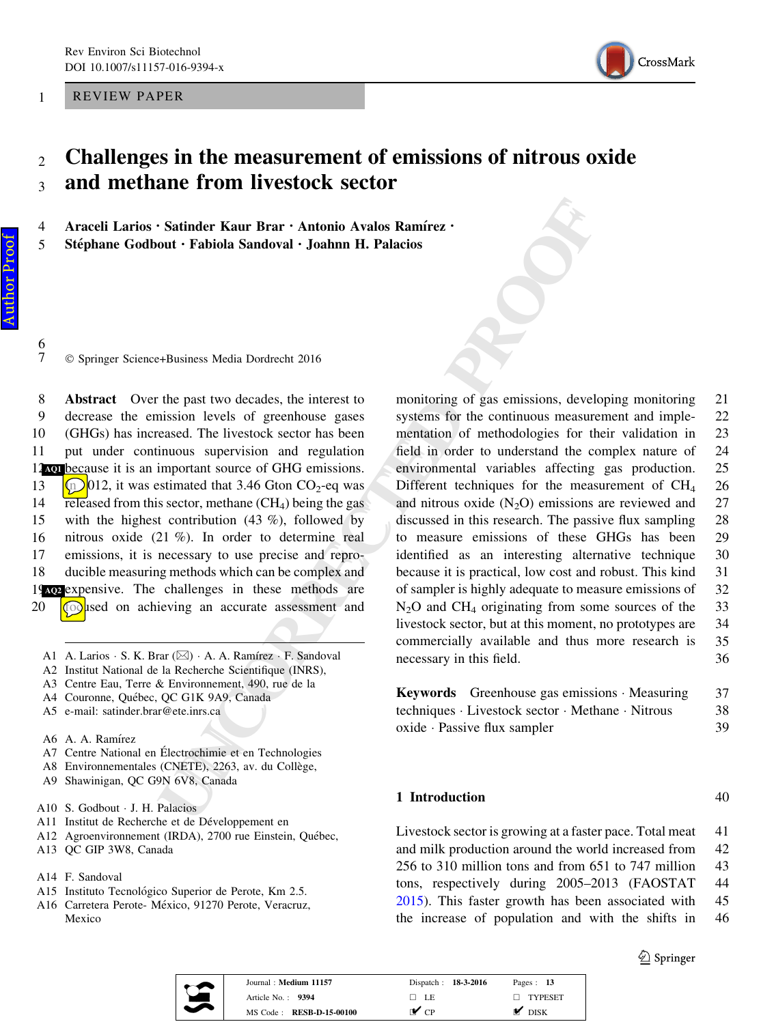<span id="page-0-0"></span>1 REVIEW PAPER



# $2<sub>2</sub>$  Challenges in the measurement of emissions of nitrous oxide <sup>3</sup> and methane from livestock sector

4 Araceli Larios · Satinder Kaur Brar · Antonio Avalos Ramírez · 5 Stéphane Godbout · Fabiola Sandoval · Joahnn H. Palacios

6<br>7 - © Springer Science+Business Media Dordrecht 2016

 Abstract Over the past two decades, the interest to decrease the emission levels of greenhouse gases (GHGs) has increased. The livestock sector has been put under continuous supervision and regulation 12 hold because it is an important source of GHG emissions.  $\left(\frac{\ln 2}{12}\right)$  (12, it was estimated that 3.46 Gton CO<sub>2</sub>-eq was  $\overline{\text{refleased}}$  from this sector, methane (CH<sub>4</sub>) being the gas with the highest contribution (43 %), followed by nitrous oxide (21 %). In order to determine real emissions, it is necessary to use precise and repro- ducible measuring methods which can be complex and [AQ2](#page-13-0) expensive. The challenges in these methods are  $\circled{ }$ used on achieving an accurate assessment and

- A1 A. Larios · S. K. Brar ( $\boxtimes$ ) · A. A. Ramírez · F. Sandoval
- A2 Institut National de la Recherche Scientifique (INRS),
- A3 Centre Eau, Terre & Environnement, 490, rue de la
- A4 Couronne, Québec, QC G1K 9A9, Canada
- A5 e-mail: satinder.brar@ete.inrs.ca
- A6 A. A. Ramı´rez
- A7 Centre National en Électrochimie et en Technologies
- A8 Environnementales (CNETE), 2263, av. du Collège,
- A9 Shawinigan, QC G9N 6V8, Canada
- A10 S. Godbout J. H. Palacios
- A11 Institut de Recherche et de Développement en
- A12 Agroenvironnement (IRDA), 2700 rue Einstein, Québec,
- A13 QC GIP 3W8, Canada
- A14 F. Sandoval
- A15 Instituto Tecnológico Superior de Perote, Km 2.5.
- A16 Carretera Perote- México, 91270 Perote, Veracruz, Mexico

**Satinder Kaur Brar - Antonio Avalos Ramírez -**<br>
bout - Fabiola Sandoval - Joahnn H. Palacios<br>
and - Joahnn H. Palacios<br>
+Basiness Media Dordrecht 2016<br>
<br>
+Basiness Media Dordrecht 2016<br>
<br>
+Basiness Media Ordrecht 2016<br>
<br> monitoring of gas emissions, developing monitoring 21 systems for the continuous measurement and imple- 22 mentation of methodologies for their validation in 23 field in order to understand the complex nature of 24 environmental variables affecting gas production. 25 Different techniques for the measurement of CH<sub>4</sub> 26 and nitrous oxide  $(N_2O)$  emissions are reviewed and 27 discussed in this research. The passive flux sampling 28 to measure emissions of these GHGs has been 29 identified as an interesting alternative technique 30 because it is practical, low cost and robust. This kind 31 of sampler is highly adequate to measure emissions of 32  $N<sub>2</sub>O$  and CH<sub>4</sub> originating from some sources of the 33 livestock sector, but at this moment, no prototypes are 34 commercially available and thus more research is 35 necessary in this field. 36

| <b>Keywords</b> Greenhouse gas emissions Measuring | 37 |
|----------------------------------------------------|----|
| techniques · Livestock sector · Methane · Nitrous  | 38 |
| oxide · Passive flux sampler                       | 39 |

### 1 Introduction 40

Livestock sector is growing at a faster pace. Total meat 41 and milk production around the world increased from 42 256 to 310 million tons and from 651 to 747 million 43 tons, respectively during 2005–2013 (FAOSTAT 44 [2015\)](#page-10-0). This faster growth has been associated with 45 the increase of population and with the shifts in 46

 $\textcircled{2}$  Springer



| Journal: Medium 11157    | Dispatch: 18-3-2016 | Pages: $13$       |
|--------------------------|---------------------|-------------------|
| Article No. $\cdot$ 9394 | $\Box$ LE           | $\Box$ TYPESET    |
| MS Code: RESB-D-15-00100 | r✔ cp               | $\mathbf{M}$ disk |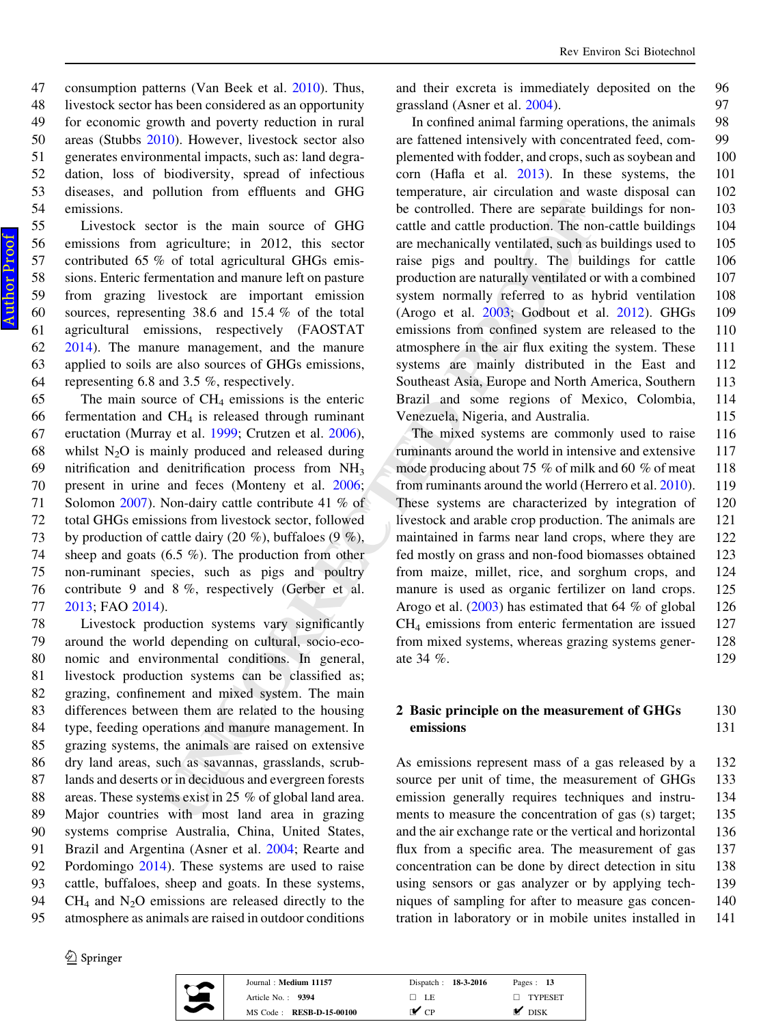livestock sector has been considered as an opportunity for economic growth and poverty reduction in rural areas (Stubbs [2010\)](#page-12-0). However, livestock sector also generates environmental impacts, such as: land degra-dation, loss of biodiversity, spread of infectious

 diseases, and pollution from effluents and GHG emissions. Livestock sector is the main source of GHG emissions from agriculture; in 2012, this sector contributed 65 % of total agricultural GHGs emis- sions. Enteric fermentation and manure left on pasture from grazing livestock are important emission sources, representing 38.6 and 15.4 % of the total agricultural emissions, respectively (FAOSTAT [2014\)](#page-10-0). The manure management, and the manure

63 applied to soils are also sources of GHGs emissions,

47 consumption patterns (Van Beek et al. [2010](#page-12-0)). Thus,

 representing 6.8 and 3.5 %, respectively. The main source of CH <sup>4</sup> emissions is the enteric 66 fermentation and  $CH_4$  is released through ruminant eructation (Murray et al. 1999; Crutzen et al. 2006), 68 whilst  $N_2O$  is mainly produced and released during nitrification and denitrification process from NH 3 present in urine and feces (Monteny et al. 2006 ; Solomon [2007](#page-12-0)). Non-dairy cattle contribute 41 % of total GHGs emissions from livestock sector, followed 73 by production of cattle dairy (20 %), buffaloes (9 %), sheep and goats (6.5 %). The production from other non-ruminant species, such as pigs and poultry contribute 9 and 8 %, respectively (Gerber et al. [2013;](#page-10-0) FAO [2014\)](#page-10-0).

 Livestock production systems vary significantly around the world depending on cultural, socio-eco- nomic and environmental conditions. In general, livestock production systems can be classified as; grazing, confinement and mixed system. The main differences between them are related to the housing type, feeding operations and manure management. In grazing systems, the animals are raised on extensive dry land areas, such as savannas, grasslands, scrub- lands and deserts or in deciduous and evergreen forests areas. These systems exist in 25 % of global land area. Major countries with most land area in grazing systems comprise Australia, China, United States, Brazil and Argentina (Asner et al. [2004;](#page-10-0) Rearte and Pordomingo [2014](#page-12-0)). These systems are used to raise cattle, buffaloes, sheep and goats. In these systems,  $\,$  CH<sub>4</sub> and N<sub>2</sub>O emissions are released directly to the atmosphere as animals are raised in outdoor conditions

2 Springer



| Journal: Medium 11157           | Dispatch: 18-3-2016 | Pages: $13$    |
|---------------------------------|---------------------|----------------|
| Article No. $\therefore$ 9394   | $\Box$ LE           | $\Box$ TYPESET |
| MS Code: <b>RESB-D-15-00100</b> | $\mathcal{C}$       | <b>DISK</b>    |

and their excreta is immediately deposited on the 96 grassland (Asner et al. [2004\)](#page-10-0). 97

In confined animal farming operations, the animals 98 are fattened intensively with concentrated feed, com- 99 plemented with fodder, and crops, such as soybean and 100 corn (Hafla et al. [2013\)](#page-11-0). In these systems, the 101 temperature, air circulation and waste disposal can 102 be controlled. There are separate buildings for non- 103 cattle and cattle production. The non-cattle buildings 104 are mechanically ventilated, such as buildings used to 105 raise pigs and poultry. The buildings for cattle 106 production are naturally ventilated or with a combined 107 system normally referred to as hybrid ventilation 108 (Arogo et al. 2003; Godbout et al. [2012\)](#page-10-0). GHGs 109 emissions from confined system are released to the 110 atmosphere in the air flux exiting the system. These 111 systems are mainly distributed in the East and 112 Southeast Asia, Europe and North America, Southern 113 Brazil and some regions of Mexico, Colombia, 114 Venezuela, Nigeria, and Australia. 115

be controlled. There are separate built<br>agriculture; in 2012, this sector are mechanically ventilated, such as a<br>different and cattle production. The non-<br>agricultural GHGs emissions are mechanically ventilated, such as b The mixed systems are commonly used to raise 116 ruminants around the world in intensive and extensive 117 mode producing about 75 % of milk and 60 % of meat 118 from ruminants around the world (Herrero et al. [2010](#page-11-0)). 119 These systems are characterized by integration of 120 livestock and arable crop production. The animals are 121 maintained in farms near land crops, where they are 122 fed mostly on grass and non-food biomasses obtained 123 from maize, millet, rice, and sorghum crops, and 124 manure is used as organic fertilizer on land crops. 125 Arogo et al.  $(2003)$  $(2003)$  has estimated that 64 % of global 126 CH <sup>4</sup> emissions from enteric fermentation are issued 127 from mixed systems, whereas grazing systems gener- 128 ate 34 %. 129

## 2 Basic principle on the measurement of GHGs 130 emissions 131

As emissions represent mass of a gas released by a 132 source per unit of time, the measurement of GHGs 133 emission generally requires techniques and instru- 134 ments to measure the concentration of gas (s) target; 135 and the air exchange rate or the vertical and horizontal 136 flux from a specific area. The measurement of gas 137 concentration can be done by direct detection in situ 138 using sensors or gas analyzer or by applying tech- 139 niques of sampling for after to measure gas concen- 140 tration in laboratory or in mobile unites installed in 141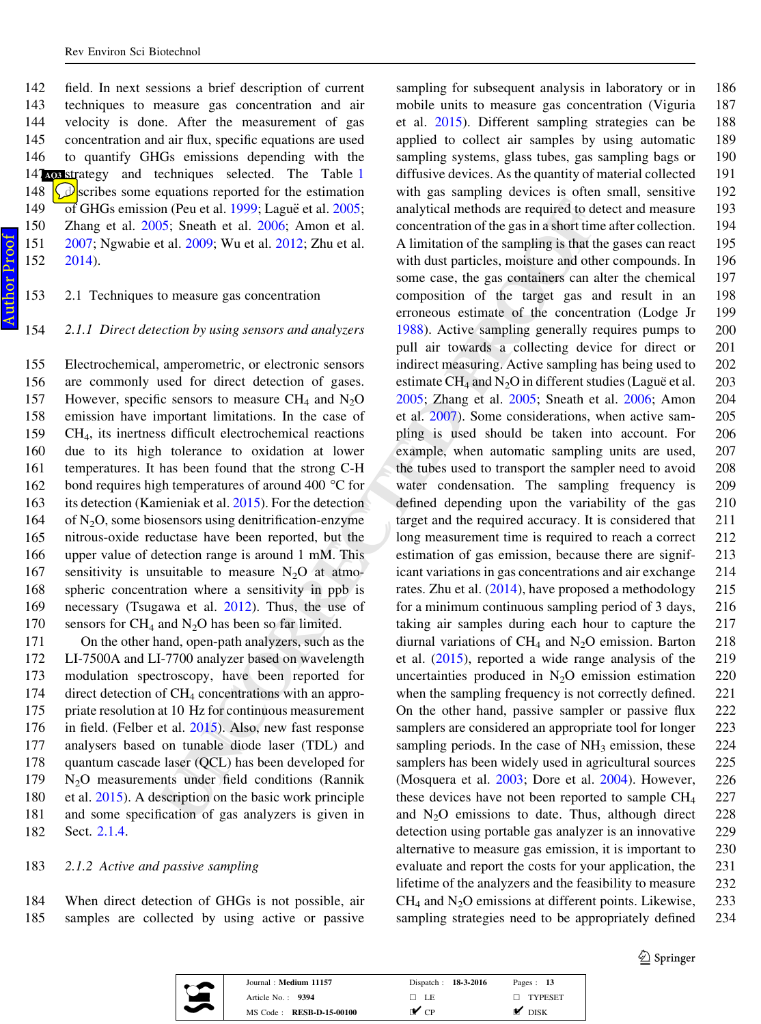<span id="page-2-0"></span> field. In next sessions a brief description of current techniques to measure gas concentration and air velocity is done. After the measurement of gas concentration and air flux, specific equations are used to quantify GHGs emissions depending with the 4<sup>7</sup> sos strategy and techniques selected. The Table 1  $\Diamond$  scribes some equations reported for the estimation 149 of GHGs emission (Peu et al. [1999](#page-11-0); Laguë et al. [2005](#page-11-0); Zhang et al. [2005;](#page-12-0) Sneath et al. [2006](#page-12-0); Amon et al. [2007;](#page-10-0) Ngwabie et al. [2009](#page-11-0); Wu et al. [2012](#page-12-0); Zhu et al. 152 [2014\)](#page-12-0).

## 153 2.1 Techniques to measure gas concentration

154 2.1.1 Direct detection by using sensors and analyzers

 Electrochemical, amperometric, or electronic sensors are commonly used for direct detection of gases. 157 However, specific sensors to measure  $CH_4$  and  $N_2O$  emission have important limitations. In the case of CH <sup>4</sup>, its inertness difficult electrochemical reactions due to its high tolerance to oxidation at lower temperatures. It has been found that the strong C-H 162 bond requires high temperatures of around 400 °C for its detection (Kamieniak et al. 2015). For the detection of N <sup>2</sup>O, some biosensors using denitrification-enzyme nitrous-oxide reductase have been reported, but the upper value of detection range is around 1 mM. This 167 sensitivity is unsuitable to measure  $N_2O$  at atmo- spheric concentration where a sensitivity in ppb is necessary (Tsugawa et al. 2012). Thus, the use of sensors for CH <sup>4</sup> and N <sup>2</sup>O has been so far limited.

 On the other hand, open-path analyzers, such as the LI-7500A and LI-7700 analyzer based on wavelength modulation spectroscopy, have been reported for direct detection of CH <sup>4</sup> concentrations with an appro- priate resolution at 10 Hz for continuous measurement in field. (Felber et al. 2015). Also, new fast response analysers based on tunable diode laser (TDL) and quantum cascade laser (QCL) has been developed for 179 N <sup>2</sup>O measurements under field conditions (Rannik et al. [2015\)](#page-11-0). A description on the basic work principle and some specification of gas analyzers is given in Sect. [2.1.4](#page-4-0) .

### 183 2.1.2 Active and passive sampling

184 When direct detection of GHGs is not possible, air 185 samples are collected by using active or passive

on (Peu et al. 2005; Anapuč et al. 2005; analytical methods are required to detections;<br>55; Sneath et al. 2006; Amon et al. concentration of the gas in a sloot time at all concentration of the sampling is that the using t sampling for subsequent analysis in laboratory or in 186 mobile units to measure gas concentration (Viguria 187 et al. [2015\)](#page-12-0). Different sampling strategies can be 188 applied to collect air samples by using automatic 189 sampling systems, glass tubes, gas sampling bags or 190 diffusive devices. As the quantity of material collected 191 with gas sampling devices is often small, sensitive 192 analytical methods are required to detect and measure 193 concentration of the gas in a short time after collection. 194 A limitation of the sampling is that the gases can react 195 with dust particles, moisture and other compounds. In 196 some case, the gas containers can alter the chemical 197 composition of the target gas and result in an 198 erroneous estimate of the concentration (Lodge Jr 199 [1988\)](#page-11-0). Active sampling generally requires pumps to 200 pull air towards a collecting device for direct or 201 indirect measuring. Active sampling has being used to 202 estimate  $CH_4$  and  $N_2O$  in different studies (Lague et al. 203 [2005;](#page-11-0) Zhang et al. [2005;](#page-12-0) Sneath et al. [2006;](#page-12-0) Amon 204 et al. 2007). Some considerations, when active sam- 205 pling is used should be taken into account. For 206 example, when automatic sampling units are used, 207 the tubes used to transport the sampler need to avoid 208 water condensation. The sampling frequency is 209 defined depending upon the variability of the gas 210 target and the required accuracy. It is considered that 211 long measurement time is required to reach a correct 212 estimation of gas emission, because there are signif- 213 icant variations in gas concentrations and air exchange 214 rates. Zhu et al. [\(2014](#page-12-0)), have proposed a methodology 215 for a minimum continuous sampling period of 3 days, 216 taking air samples during each hour to capture the 217 diurnal variations of  $CH_4$  and  $N_2O$  emission. Barton 218 et al. (2015), reported a wide range analysis of the 219 uncertainties produced in  $N_2O$  emission estimation 220 when the sampling frequency is not correctly defined. 221 On the other hand, passive sampler or passive flux 222 samplers are considered an appropriate tool for longer 223 sampling periods. In the case of NH<sub>3</sub> emission, these 224 samplers has been widely used in agricultural sources 225 (Mosquera et al. [2003;](#page-11-0) Dore et al. [2004\)](#page-10-0). However, 226 these devices have not been reported to sample CH 227 and  $N_2O$  emissions to date. Thus, although direct 228 detection using portable gas analyzer is an innovative 229 alternative to measure gas emission, it is important to 230 evaluate and report the costs for your application, the 231 lifetime of the analyzers and the feasibility to measure 232  $CH<sub>4</sub>$  and N<sub>2</sub>O emissions at different points. Likewise, 233 sampling strategies need to be appropriately defined 234



| Journal: Medium 11157           | Dispatch: 18-3-2016 | Pages: $13$ |
|---------------------------------|---------------------|-------------|
| Article No.: 9394               | □ LE                | TYPESET     |
| MS Code: <b>RESB-D-15-00100</b> | г✔ ср               | <b>DISK</b> |

 $\textcircled{2}$  Springer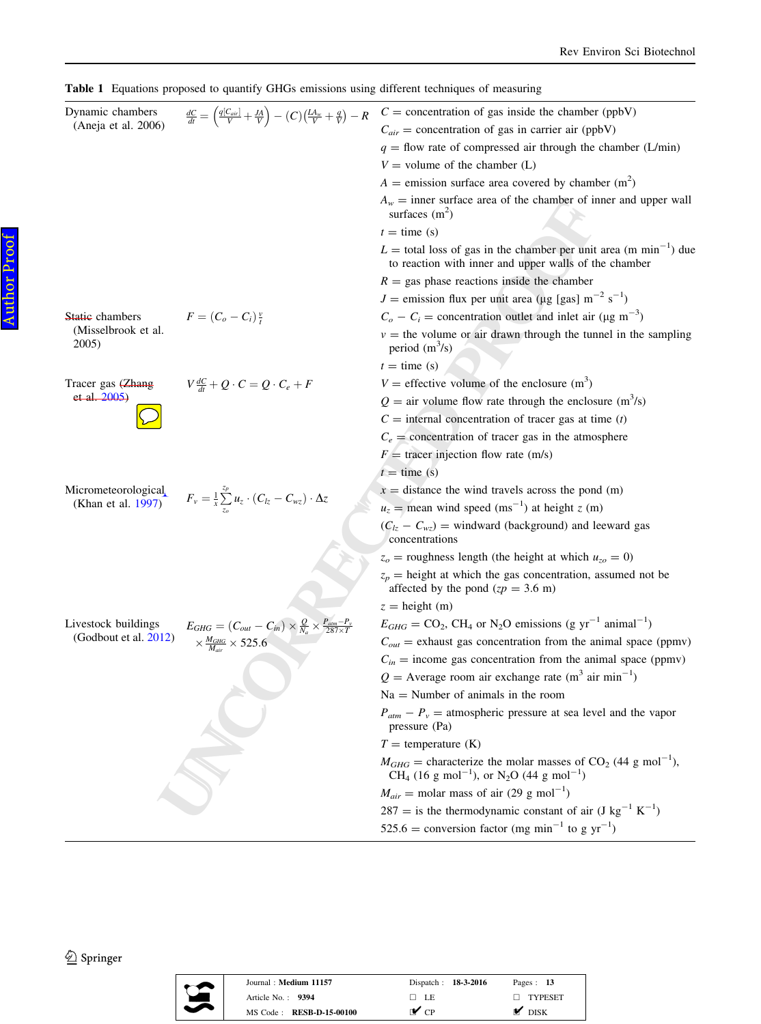<span id="page-3-0"></span>Table 1 Equations proposed to quantify GHGs emissions using different techniques of measuring

| Dynamic chambers<br>(Aneja et al. 2006) | $\frac{dC}{dt} = \left(\frac{q[C_{air}]}{V} + \frac{JA}{V}\right) - (C)\left(\frac{LA_w}{V} + \frac{q}{V}\right) - R$ | $C =$ concentration of gas inside the chamber (ppbV)                                                                                                                                |
|-----------------------------------------|-----------------------------------------------------------------------------------------------------------------------|-------------------------------------------------------------------------------------------------------------------------------------------------------------------------------------|
|                                         |                                                                                                                       | $C_{air}$ = concentration of gas in carrier air (ppbV)                                                                                                                              |
|                                         |                                                                                                                       | $q =$ flow rate of compressed air through the chamber (L/min)                                                                                                                       |
|                                         |                                                                                                                       | $V =$ volume of the chamber (L)                                                                                                                                                     |
|                                         |                                                                                                                       | $A =$ emission surface area covered by chamber (m <sup>2</sup> )                                                                                                                    |
|                                         |                                                                                                                       | $A_w$ = inner surface area of the chamber of inner and upper wall<br>surfaces $(m^2)$                                                                                               |
|                                         |                                                                                                                       | $t =$ time (s)                                                                                                                                                                      |
|                                         |                                                                                                                       | $L =$ total loss of gas in the chamber per unit area (m min <sup>-1</sup> ) due<br>to reaction with inner and upper walls of the chamber                                            |
|                                         |                                                                                                                       | $R =$ gas phase reactions inside the chamber                                                                                                                                        |
|                                         |                                                                                                                       | $J =$ emission flux per unit area (µg [gas] m <sup>-2</sup> s <sup>-1</sup> )                                                                                                       |
| Static chambers                         | $F=(C_o-C_i)\frac{v}{t}$                                                                                              | $C_o - C_i$ = concentration outlet and inlet air (µg m <sup>-3</sup> )                                                                                                              |
| (Misselbrook et al.<br>2005)            |                                                                                                                       | $v =$ the volume or air drawn through the tunnel in the sampling<br>period $(m^3/s)$                                                                                                |
|                                         |                                                                                                                       | $t =$ time (s)                                                                                                                                                                      |
| Tracer gas (Zhang                       | $V \frac{dC}{dt} + Q \cdot C = Q \cdot C_e + F$                                                                       | $V =$ effective volume of the enclosure $(m3)$                                                                                                                                      |
| et al. 2005)                            |                                                                                                                       | $Q =$ air volume flow rate through the enclosure (m <sup>3</sup> /s)                                                                                                                |
|                                         |                                                                                                                       | $C =$ internal concentration of tracer gas at time (t)                                                                                                                              |
|                                         |                                                                                                                       | $C_e$ = concentration of tracer gas in the atmosphere                                                                                                                               |
|                                         |                                                                                                                       | $F =$ tracer injection flow rate (m/s)                                                                                                                                              |
|                                         |                                                                                                                       | $t =$ time (s)                                                                                                                                                                      |
| Micrometeorological                     |                                                                                                                       | $x =$ distance the wind travels across the pond (m)                                                                                                                                 |
| (Khan et al. 1997)                      | $F_v = \frac{1}{x} \sum_{z_o}^{z_p} u_z \cdot (C_{lz} - C_{wz}) \cdot \Delta z$                                       | $u_z$ = mean wind speed (ms <sup>-1</sup> ) at height z (m)                                                                                                                         |
|                                         |                                                                                                                       | $(C_{lz} - C_{wz})$ = windward (background) and leeward gas<br>concentrations                                                                                                       |
|                                         |                                                                                                                       | $z_o$ = roughness length (the height at which $u_{zo} = 0$ )                                                                                                                        |
|                                         |                                                                                                                       | $z_p$ = height at which the gas concentration, assumed not be<br>affected by the pond $(zp = 3.6 \text{ m})$                                                                        |
|                                         |                                                                                                                       | $z =$ height (m)                                                                                                                                                                    |
| Livestock buildings                     | $E_{GHG}=\left(C_{out}-C_{in}\right)\times\frac{Q}{N_a}\times\frac{P_{atm}-P_v}{287\times T}$                         | $E_{GHG} = \text{CO}_2$ , CH <sub>4</sub> or N <sub>2</sub> O emissions (g yr <sup>-1</sup> animal <sup>-1</sup> )                                                                  |
| (Godbout et al. 2012)                   | $\times \frac{M_{GHG}}{M_{air}} \times 525.6$                                                                         | $C_{out}$ = exhaust gas concentration from the animal space (ppmv)                                                                                                                  |
|                                         |                                                                                                                       | $C_{in}$ = income gas concentration from the animal space (ppmv)                                                                                                                    |
|                                         |                                                                                                                       | $Q =$ Average room air exchange rate (m <sup>3</sup> air min <sup>-1</sup> )                                                                                                        |
|                                         |                                                                                                                       | $Na =$ Number of animals in the room                                                                                                                                                |
|                                         |                                                                                                                       | $P_{atm} - P_v =$ atmospheric pressure at sea level and the vapor<br>pressure (Pa)                                                                                                  |
|                                         |                                                                                                                       | $T =$ temperature $(K)$                                                                                                                                                             |
|                                         |                                                                                                                       | $M_{GHG}$ = characterize the molar masses of CO <sub>2</sub> (44 g mol <sup>-1</sup> ),<br>CH <sub>4</sub> (16 g mol <sup>-1</sup> ), or N <sub>2</sub> O (44 g mol <sup>-1</sup> ) |
|                                         |                                                                                                                       | $M_{air}$ = molar mass of air (29 g mol <sup>-1</sup> )                                                                                                                             |
|                                         |                                                                                                                       | $287 =$ is the thermodynamic constant of air (J kg <sup>-1</sup> K <sup>-1</sup> )                                                                                                  |
|                                         |                                                                                                                       | 525.6 = conversion factor (mg min <sup>-1</sup> to g $yr^{-1}$ )                                                                                                                    |
|                                         |                                                                                                                       |                                                                                                                                                                                     |

 $\underline{\textcircled{\tiny 2}}$  Springer



| Journal: Medium 11157           | Dispatch: 18-3-2016      | Pages: $13$       |
|---------------------------------|--------------------------|-------------------|
| Article No. $\cdot$ 9394        | $\Box$ LE                | $\Box$ TYPESET    |
| MS Code: <b>RESB-D-15-00100</b> | $\mathbf{v}_{\text{cp}}$ | $\mathbf{M}$ DISK |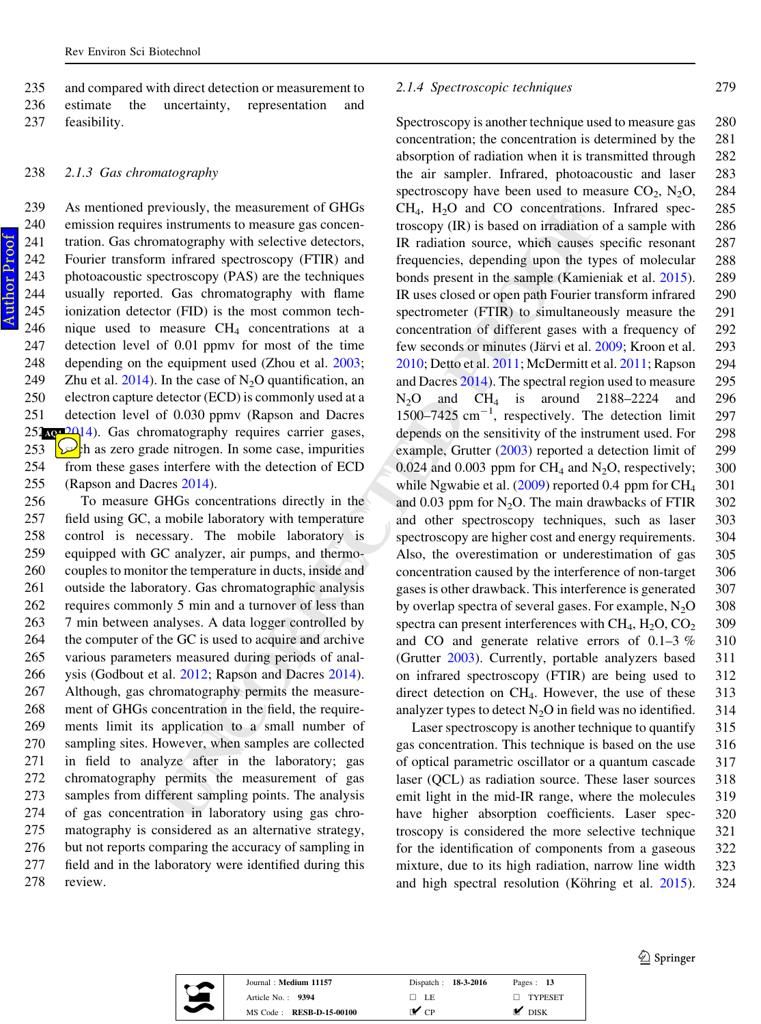<span id="page-4-0"></span>235 and compared with direct detection or measurement to 236 estimate the uncertainty, representation and 237 feasibility.

#### 238 2.1.3 Gas chromatography

Author ProofAuthor Proo  As mentioned previously, the measurement of GHGs emission requires instruments to measure gas concen-241 tration. Gas chromatography with selective detectors, Fourier transform infrared spectroscopy (FTIR) and photoacoustic spectroscopy (PAS) are the techniques usually reported. Gas chromatography with flame ionization detector (FID) is the most common tech-246 nique used to measure  $CH_4$  concentrations at a<br>247 detection level of 0.01 ppmv for most of the time detection level of 0.01 ppmv for most of the time 248 depending on the equipment used (Zhou et al. [2003](#page-12-0); 249 Zhu et al. [2014](#page-12-0)). In the case of  $N_2O$  quantification, an electron capture detector (ECD) is commonly used at a detection level of 0.030 ppmv (Rapson and Dacres **202**14). Gas chromatography requires carrier gases,  $\sqrt{\ln \ln x}$  as zero grade nitrogen. In some case, impurities from these gases interfere with the detection of ECD (Rapson and Dacres 2014).

 To measure GHGs concentrations directly in the field using GC, a mobile laboratory with temperature control is necessary. The mobile laboratory is equipped with GC analyzer, air pumps, and thermo- couples to monitor the temperature in ducts, inside and outside the laboratory. Gas chromatographic analysis requires commonly 5 min and a turnover of less than 7 min between analyses. A data logger controlled by the computer of the GC is used to acquire and archive various parameters measured during periods of anal- ysis (Godbout et al. 2012; Rapson and Dacres 2014). Although, gas chromatography permits the measure- ment of GHGs concentration in the field, the require- ments limit its application to a small number of sampling sites. However, when samples are collected in field to analyze after in the laboratory; gas chromatography permits the measurement of gas samples from different sampling points. The analysis of gas concentration in laboratory using gas chro- matography is considered as an alternative strategy, but not reports comparing the accuracy of sampling in field and in the laboratory were identified during this 278 review.

#### 2.1.4 Spectroscopic techniques 279

eviously, the measurement of GHGs<br>
instruments to measurement of GHGs<br>
instructions. In<br>
instructions of measurement of GHGs<br>
instructions of measurement of CHGs<br>
instructions of measurement such and<br>
instructions of measu Spectroscopy is another technique used to measure gas 280 concentration; the concentration is determined by the 281 absorption of radiation when it is transmitted through 282 the air sampler. Infrared, photoacoustic and laser 283 spectroscopy have been used to measure  $CO_2$ ,  $N_2O$ , 284 CH <sup>4</sup>, H <sup>2</sup>O and CO concentrations. Infrared spec- 285 troscopy (IR) is based on irradiation of a sample with 286 IR radiation source, which causes specific resonant 287 frequencies, depending upon the types of molecular 288 bonds present in the sample (Kamieniak et al. [2015](#page-11-0)). 289 IR uses closed or open path Fourier transform infrared 290 spectrometer (FTIR) to simultaneously measure the 291 concentration of different gases with a frequency of 292 few seconds or minutes (Järvi et al. [2009;](#page-11-0) Kroon et al. 293 [2010;](#page-11-0) Detto et al. 2011; McDermitt et al. [2011;](#page-11-0) Rapson 294 and Dacres 2014). The spectral region used to measure 295  $N_2O$  and  $CH_4$  is around 2188–2224 and 296  $1500-7425$  cm<sup>-1</sup>, respectively. The detection limit 297 depends on the sensitivity of the instrument used. For 298 example, Grutter ([2003\)](#page-11-0) reported a detection limit of 299  $0.024$  and  $0.003$  ppm for CH<sub>4</sub> and N<sub>2</sub>O, respectively; 300 while Ngwabie et al.  $(2009)$  $(2009)$  reported 0.4 ppm for  $CH<sub>4</sub>$ 301 and 0.03 ppm for  $N_2O$ . The main drawbacks of FTIR  $302$ and other spectroscopy techniques, such as laser 303 spectroscopy are higher cost and energy requirements. 304 Also, the overestimation or underestimation of gas 305 concentration caused by the interference of non-target 306 gases is other drawback. This interference is generated 307 by overlap spectra of several gases. For example, N 2 O 308 spectra can present interferences with CH <sup>4</sup>, H <sup>2</sup>O, CO 309 and CO and generate relative errors of 0.1–3 % 310 (Grutter [2003\)](#page-11-0). Currently, portable analyzers based 311 on infrared spectroscopy (FTIR) are being used to 312 direct detection on CH <sup>4</sup>. However, the use of these 313 analyzer types to detect  $N_2O$  in field was no identified. 314

Laser spectroscopy is another technique to quantify 315 gas concentration. This technique is based on the use 316 of optical parametric oscillator or a quantum cascade 317 laser (QCL) as radiation source. These laser sources 318 emit light in the mid-IR range, where the molecules 319 have higher absorption coefficients. Laser spec- 320 troscopy is considered the more selective technique 321 for the identification of components from a gaseous 322 mixture, due to its high radiation, narrow line width 323 and high spectral resolution (Köhring et al. [2015](#page-11-0)). 324



| Journal: Medium 11157           | Dispatch: 18-3-2016      | Pages: 13         |
|---------------------------------|--------------------------|-------------------|
| Article No.: 9394               | $\Box$ LE                | $\Box$ TYPESET    |
| MS Code: <b>RESB-D-15-00100</b> | $\mathbf{v}_{\text{CP}}$ | $\mathbf{M}$ DISK |

 $\bigcirc$  Springer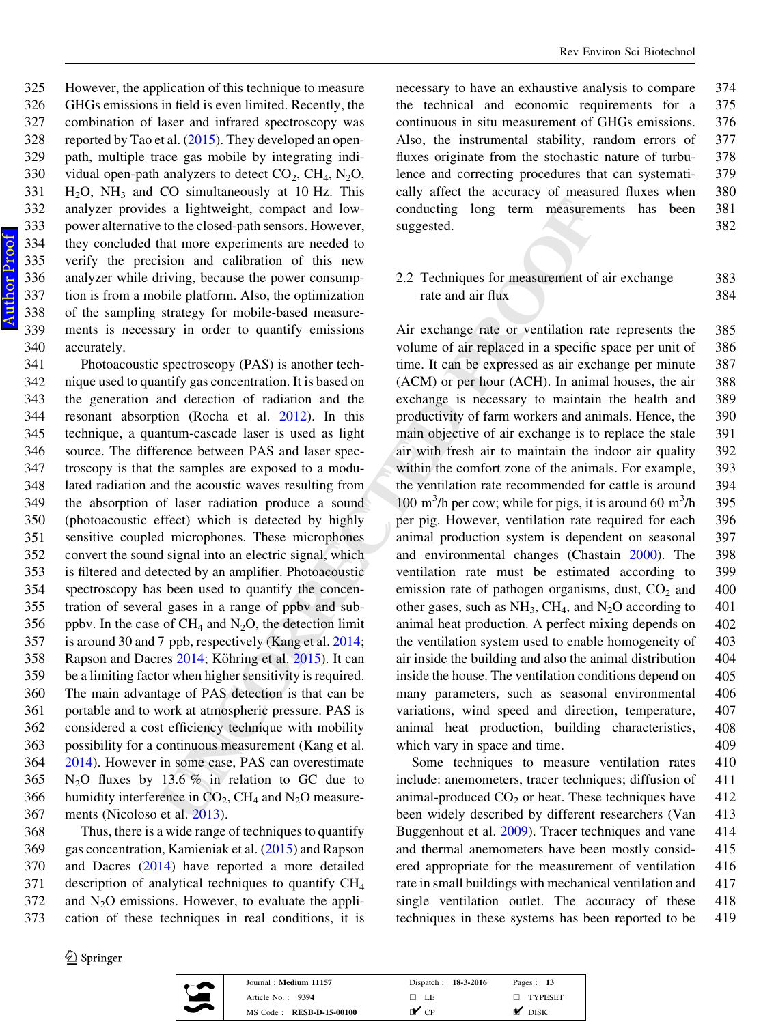However, the application of this technique to measure GHGs emissions in field is even limited. Recently, the combination of laser and infrared spectroscopy was 328 reported by Tao et al.  $(2015)$  $(2015)$ . They developed an open- path, multiple trace gas mobile by integrating indi-330 vidual open-path analyzers to detect  $CO_2$ ,  $CH_4$ ,  $N_2O$ , 331  $H<sub>2</sub>O$ , NH<sub>3</sub> and CO simultaneously at 10 Hz. This analyzer provides a lightweight, compact and low- power alternative to the closed-path sensors. However, they concluded that more experiments are needed to verify the precision and calibration of this new analyzer while driving, because the power consump- tion is from a mobile platform. Also, the optimization of the sampling strategy for mobile-based measure- ments is necessary in order to quantify emissions accurately.

is a lightweight, compact and low-<br>conducting long term measurement to the closed-path sensor, However, suggested.<br>
to the closed-path sensor, However, suggested.<br>
Had more experiments are needed to<br>
into the power consum Photoacoustic spectroscopy (PAS) is another tech- nique used to quantify gas concentration. It is based on the generation and detection of radiation and the resonant absorption (Rocha et al. 2012). In this technique, a quantum-cascade laser is used as light source. The difference between PAS and laser spec- troscopy is that the samples are exposed to a modu- lated radiation and the acoustic waves resulting from the absorption of laser radiation produce a sound (photoacoustic effect) which is detected by highly sensitive coupled microphones. These microphones convert the sound signal into an electric signal, which is filtered and detected by an amplifier. Photoacoustic spectroscopy has been used to quantify the concen- tration of several gases in a range of ppbv and sub-356 ppbv. In the case of CH<sub>4</sub> and N<sub>2</sub>O, the detection limit is around 30 and 7 ppb, respectively (Kang et al. 2014 ; 358 Rapson and Dacres  $2014$ ; Köhring et al. 2015). It can be a limiting factor when higher sensitivity is required. The main advantage of PAS detection is that can be portable and to work at atmospheric pressure. PAS is considered a cost efficiency technique with mobility possibility for a continuous measurement (Kang et al. [2014\)](#page-11-0). However in some case, PAS can overestimate 365  $N_2$ O fluxes by 13.6 % in relation to GC due to 366 humidity interference in  $CO_2$ , CH<sub>4</sub> and N<sub>2</sub>O measure-ments (Nicoloso et al. 2013).

 Thus, there is a wide range of techniques to quantify gas concentration, Kamieniak et al. ([2015\)](#page-11-0) and Rapson and Dacres ([2014\)](#page-12-0) have reported a more detailed description of analytical techniques to quantify CH 4 and  $N_2O$  emissions. However, to evaluate the appli-cation of these techniques in real conditions, it is

 $\hat{\mathcal{D}}$  Springer



| Journal: Medium 11157    | Dispatch: 18-3-2016      | Pages: $13$                   |
|--------------------------|--------------------------|-------------------------------|
| Article No.: 9394        | □ LE                     | $\Box$ TYPESET                |
| MS Code: RESB-D-15-00100 | $\mathbf{v}_{\text{CP}}$ | $\overline{\phantom{a}}$ disk |

necessary to have an exhaustive analysis to compare 374 the technical and economic requirements for a 375 continuous in situ measurement of GHGs emissions. 376 Also, the instrumental stability, random errors of 377 fluxes originate from the stochastic nature of turbu-<br>378 lence and correcting procedures that can systemati- 379 cally affect the accuracy of measured fluxes when 380 conducting long term measurements has been 381 suggested. 382

2.2 Techniques for measurement of air exchange 383 rate and air flux 384

Air exchange rate or ventilation rate represents the 385 volume of air replaced in a specific space per unit of 386 time. It can be expressed as air exchange per minute 387 (ACM) or per hour (ACH). In animal houses, the air 388 exchange is necessary to maintain the health and 389 productivity of farm workers and animals. Hence, the 390 main objective of air exchange is to replace the stale 391 air with fresh air to maintain the indoor air quality 392 within the comfort zone of the animals. For example, 393 the ventilation rate recommended for cattle is around 394 100 m<sup>3</sup>/h per cow; while for pigs, it is around 60 m<sup>3</sup>/h 395 per pig. However, ventilation rate required for each 396 animal production system is dependent on seasonal 397 and environmental changes (Chastain [2000\)](#page-10-0). The 398 ventilation rate must be estimated according to 399 emission rate of pathogen organisms, dust,  $CO<sub>2</sub>$  and 400 other gases, such as  $NH_3$ , CH<sub>4</sub>, and N<sub>2</sub>O according to 401 animal heat production. A perfect mixing depends on 402 the ventilation system used to enable homogeneity of 403 air inside the building and also the animal distribution 404 inside the house. The ventilation conditions depend on 405 many parameters, such as seasonal environmental 406 variations, wind speed and direction, temperature, 407 animal heat production, building characteristics, 408 which vary in space and time. 409

Some techniques to measure ventilation rates 410 include: anemometers, tracer techniques; diffusion of 411 animal-produced  $CO<sub>2</sub>$  or heat. These techniques have 412 been widely described by different researchers (Van 413 Buggenhout et al. [2009\)](#page-12-0). Tracer techniques and vane 414 and thermal anemometers have been mostly consid- 415 ered appropriate for the measurement of ventilation 416 rate in small buildings with mechanical ventilation and 417 single ventilation outlet. The accuracy of these 418 techniques in these systems has been reported to be 419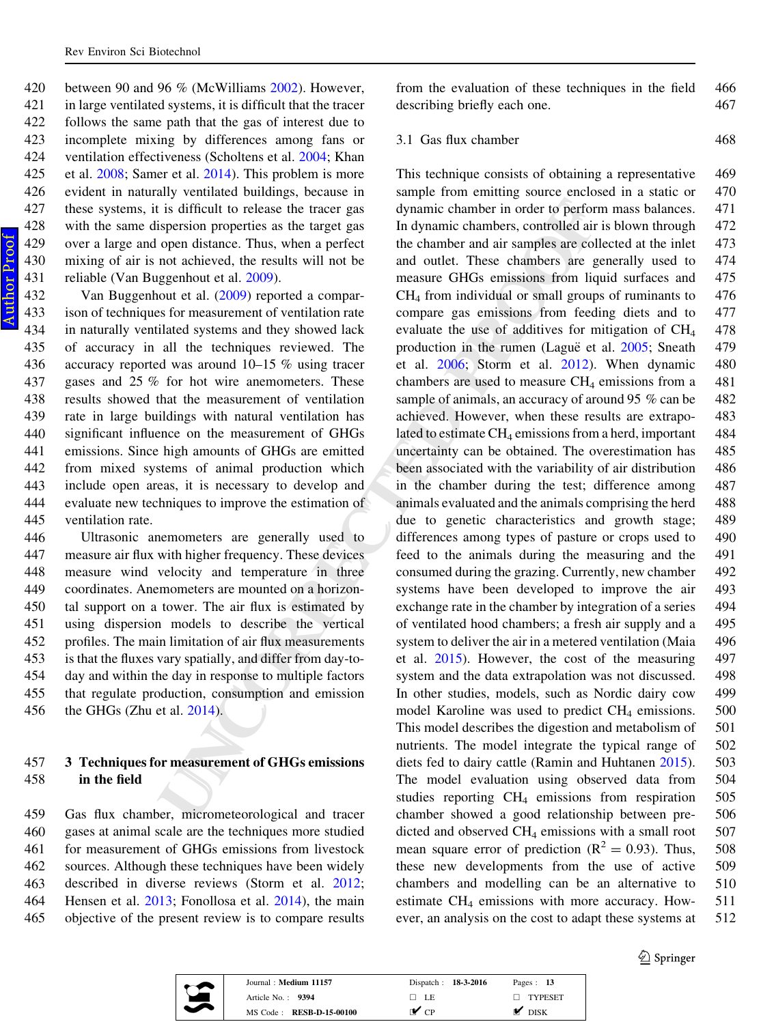between 90 and 96 % (McWilliams [2002](#page-11-0)). However, in large ventilated systems, it is difficult that the tracer follows the same path that the gas of interest due to incomplete mixing by differences among fans or ventilation effectiveness (Scholtens et al. [2004;](#page-12-0) Khan et al. [2008;](#page-11-0) Samer et al. [2014](#page-12-0)). This problem is more evident in naturally ventilated buildings, because in these systems, it is difficult to release the tracer gas with the same dispersion properties as the target gas over a large and open distance. Thus, when a perfect mixing of air is not achieved, the results will not be reliable (Van Buggenhout et al. [2009\)](#page-12-0).

 Van Buggenhout et al. ([2009\)](#page-12-0) reported a compar- ison of techniques for measurement of ventilation rate in naturally ventilated systems and they showed lack of accuracy in all the techniques reviewed. The accuracy reported was around 10–15 % using tracer gases and 25 % for hot wire anemometers. These results showed that the measurement of ventilation rate in large buildings with natural ventilation has significant influence on the measurement of GHGs emissions. Since high amounts of GHGs are emitted from mixed systems of animal production which include open areas, it is necessary to develop and evaluate new techniques to improve the estimation of ventilation rate.

 Ultrasonic anemometers are generally used to measure air flux with higher frequency. These devices measure wind velocity and temperature in three coordinates. Anemometers are mounted on a horizon- tal support on a tower. The air flux is estimated by using dispersion models to describe the vertical profiles. The main limitation of air flux measurements is that the fluxes vary spatially, and differ from day-to- day and within the day in response to multiple factors that regulate production, consumption and emission the GHGs (Zhu et al. 2014).

## 457 3 Techniques for measurement of GHGs emissions 458 in the field

 Gas flux chamber, micrometeorological and tracer gases at animal scale are the techniques more studied for measurement of GHGs emissions from livestock sources. Although these techniques have been widely described in diverse reviews (Storm et al. [2012](#page-12-0) ; Hensen et al. [2013](#page-11-0); Fonollosa et al. [2014](#page-10-0)), the main objective of the present review is to compare results from the evaluation of these techniques in the field 466 describing briefly each one. 467

3.1 Gas flux chamber 468

is difficult to release the tracer gas<br>
dynamic chamber in order to perform repeating a meanure of the dynamic chamber and the sumplex specifies are the operation properties and the chamber and sumplex are collected the r This technique consists of obtaining a representative 469 sample from emitting source enclosed in a static or 470 dynamic chamber in order to perform mass balances. 471 In dynamic chambers, controlled air is blown through 472 the chamber and air samples are collected at the inlet 473 and outlet. These chambers are generally used to 474 measure GHGs emissions from liquid surfaces and 475  $CH<sub>4</sub>$  from individual or small groups of ruminants to  $476$ compare gas emissions from feeding diets and to 477 evaluate the use of additives for mitigation of CH 478 production in the rumen (Lague et al. [2005](#page-11-0); Sneath 479 et al. [2006](#page-12-0); Storm et al. 2012). When dynamic 480 chambers are used to measure CH <sup>4</sup> emissions from a 481 sample of animals, an accuracy of around 95 % can be 482 achieved. However, when these results are extrapo- 483 lated to estimate CH<sub>4</sub> emissions from a herd, important 484 uncertainty can be obtained. The overestimation has 485 been associated with the variability of air distribution 486 in the chamber during the test; difference among 487 animals evaluated and the animals comprising the herd 488 due to genetic characteristics and growth stage; 489 differences among types of pasture or crops used to 490 feed to the animals during the measuring and the 491 consumed during the grazing. Currently, new chamber 492 systems have been developed to improve the air 493 exchange rate in the chamber by integration of a series 494 of ventilated hood chambers; a fresh air supply and a 495 system to deliver the air in a metered ventilation (Maia 496 et al. 2015). However, the cost of the measuring 497 system and the data extrapolation was not discussed. 498 In other studies, models, such as Nordic dairy cow 499 model Karoline was used to predict CH <sup>4</sup> emissions. 500 This model describes the digestion and metabolism of 501 nutrients. The model integrate the typical range of 502 diets fed to dairy cattle (Ramin and Huhtanen [2015](#page-11-0)). 503 The model evaluation using observed data from 504 studies reporting CH <sup>4</sup> emissions from respiration 505 chamber showed a good relationship between pre- 506 dicted and observed  $CH_4$  emissions with a small root  $507$ mean square error of prediction  $(R^2 = 0.93)$ . Thus, 508 these new developments from the use of active 509 chambers and modelling can be an alternative to 510 estimate CH <sup>4</sup> emissions with more accuracy. How- 511 ever, an analysis on the cost to adapt these systems at 512



| Journal: Medium 11157           | Dispatch: 18-3-2016 | Pages: $13$               |
|---------------------------------|---------------------|---------------------------|
| Article No.: 9394               | - LE                | TYPESET<br>$\blacksquare$ |
| MS Code: <b>RESB-D-15-00100</b> | r✔ cp               | <b>DISK</b>               |

 $\textcircled{2}$  Springer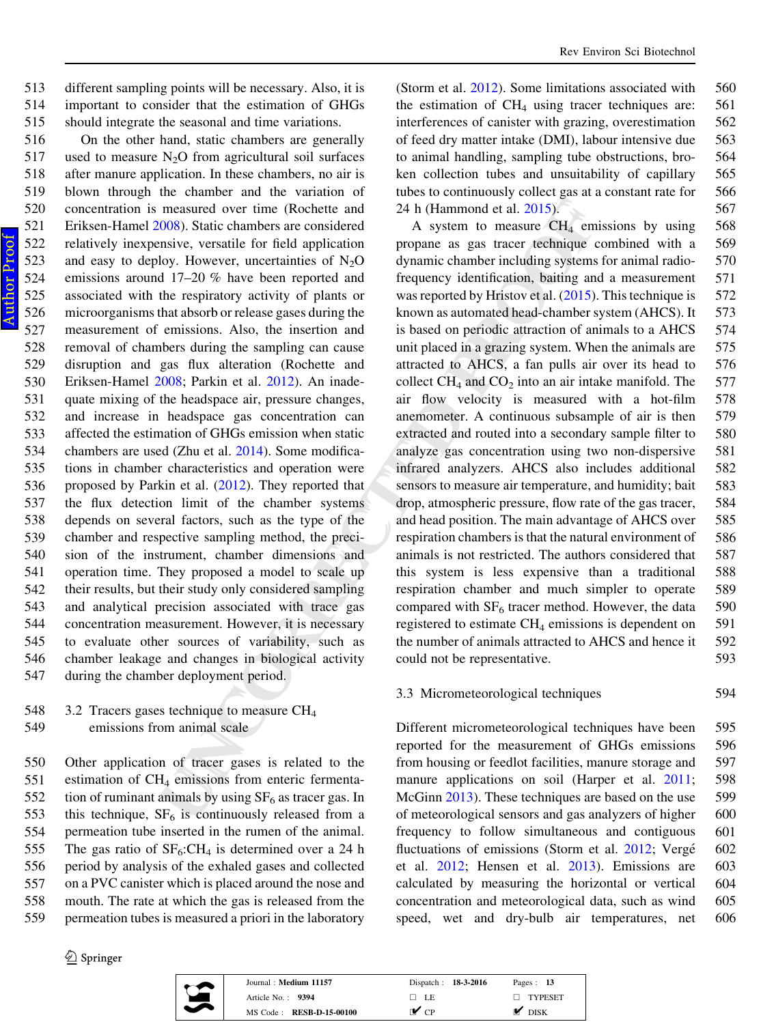513 different sampling points will be necessary. Also, it is 514 important to consider that the estimation of GHGs 515 should integrate the seasonal and time variations.

measured over time (Rochette and 24 h (Hammond et al. 2015).<br>
2008). Static chambers are considered A system to measure CH4 emissions, we creating for tied application<br>
propane as gas tracer rechanger commons where the sy On the other hand, static chambers are generally 517 used to measure  $N_2O$  from agricultural soil surfaces after manure application. In these chambers, no air is blown through the chamber and the variation of concentration is measured over time (Rochette and Eriksen-Hamel [2008\)](#page-12-0). Static chambers are considered relatively inexpensive, versatile for field application 523 and easy to deploy. However, uncertainties of  $N_2O$  emissions around 17–20 % have been reported and associated with the respiratory activity of plants or microorganisms that absorb or release gases during the measurement of emissions. Also, the insertion and removal of chambers during the sampling can cause disruption and gas flux alteration (Rochette and Eriksen-Hamel [2008](#page-12-0); Parkin et al. [2012\)](#page-11-0). An inade- quate mixing of the headspace air, pressure changes, and increase in headspace gas concentration can affected the estimation of GHGs emission when static chambers are used (Zhu et al. 2014). Some modifica- tions in chamber characteristics and operation were 536 proposed by Parkin et al. (2012). They reported that the flux detection limit of the chamber systems depends on several factors, such as the type of the chamber and respective sampling method, the preci- sion of the instrument, chamber dimensions and operation time. They proposed a model to scale up their results, but their study only considered sampling and analytical precision associated with trace gas concentration measurement. However, it is necessary to evaluate other sources of variability, such as chamber leakage and changes in biological activity during the chamber deployment period.

548 3.2 Tracers gases technique to measure CH 4 549 emissions from animal scale

 Other application of tracer gases is related to the estimation of CH <sup>4</sup> emissions from enteric fermenta-552 tion of ruminant animals by using  $SF<sub>6</sub>$  as tracer gas. In 553 this technique,  $SF_6$  is continuously released from a permeation tube inserted in the rumen of the animal. 555 The gas ratio of  $SF_6:CH_4$  is determined over a 24 h period by analysis of the exhaled gases and collected on a PVC canister which is placed around the nose and mouth. The rate at which the gas is released from the permeation tubes is measured a priori in the laboratory

 $\circled{2}$  Springer



| Journal: Medium 11157    | Dispatch: 18-3-2016 | Pages: 13      |
|--------------------------|---------------------|----------------|
| Article No.: 9394        | □ LE                | $\Box$ TYPESET |
| MS Code: RESB-D-15-00100 | r✔ cp               | <b>DISK</b>    |

(Storm et al. [2012](#page-12-0)). Some limitations associated with 560 the estimation of  $CH_4$  using tracer techniques are: 561 interferences of canister with grazing, overestimation 562 of feed dry matter intake (DMI), labour intensive due 563 to animal handling, sampling tube obstructions, bro- 564 ken collection tubes and unsuitability of capillary 565 tubes to continuously collect gas at a constant rate for 566 24 h (Hammond et al. 2015). 567

A system to measure CH <sup>4</sup> emissions by using 568 propane as gas tracer technique combined with a 569 dynamic chamber including systems for animal radio- 570 frequency identification, baiting and a measurement 571 was reported by Hristov et al.  $(2015)$ . This technique is 572 known as automated head-chamber system (AHCS). It 573 is based on periodic attraction of animals to a AHCS 574 unit placed in a grazing system. When the animals are 575 attracted to AHCS, a fan pulls air over its head to 576 collect  $CH_4$  and  $CO_2$  into an air intake manifold. The 577 air flow velocity is measured with a hot-film 578 anemometer. A continuous subsample of air is then 579 extracted and routed into a secondary sample filter to 580 analyze gas concentration using two non-dispersive 581 infrared analyzers. AHCS also includes additional 582 sensors to measure air temperature, and humidity; bait 583 drop, atmospheric pressure, flow rate of the gas tracer, 584 and head position. The main advantage of AHCS over 585 respiration chambers is that the natural environment of 586 animals is not restricted. The authors considered that 587 this system is less expensive than a traditional 588 respiration chamber and much simpler to operate 589 compared with  $SF_6$  tracer method. However, the data  $590$ registered to estimate CH <sup>4</sup> emissions is dependent on 591 the number of animals attracted to AHCS and hence it 592 could not be representative. 593

#### 3.3 Micrometeorological techniques 594

Different micrometeorological techniques have been 595 reported for the measurement of GHGs emissions 596 from housing or feedlot facilities, manure storage and 597 manure applications on soil (Harper et al. [2011](#page-11-0); ; 598 McGinn [2013](#page-11-0)). These techniques are based on the use 599 of meteorological sensors and gas analyzers of higher 600 frequency to follow simultaneous and contiguous 601 fluctuations of emissions (Storm et al. [2012;](#page-12-0) Vergé 602 et al. [2012](#page-12-0); Hensen et al. [2013\)](#page-11-0). Emissions are 603 calculated by measuring the horizontal or vertical 604 concentration and meteorological data, such as wind 605 speed, wet and dry-bulb air temperatures, net 606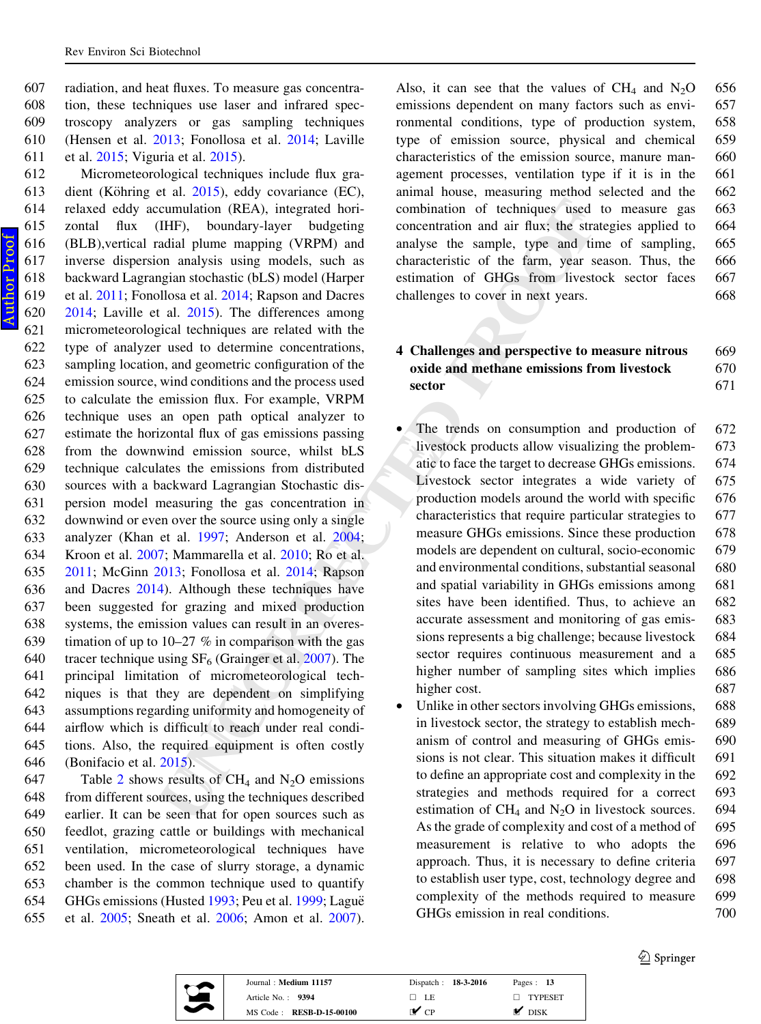radiation, and heat fluxes. To measure gas concentra- tion, these techniques use laser and infrared spec- troscopy analyzers or gas sampling techniques (Hensen et al. [2013](#page-11-0); Fonollosa et al. [2014;](#page-10-0) Laville et al. [2015](#page-11-0); Viguria et al. [2015\)](#page-12-0).

cumulation ([R](#page-11-0)EA), integrated hori-<br>
combination of techniques used to<br>
HHF), boundary-layer budgeting<br>
domethrain and air flux; the strategy amountary and<br>
analyse using models, such as characteristic of the farm, yies re Micrometeorological techniques include flux gra-613 dient (Köhring et al.  $2015$ ), eddy covariance (EC), relaxed eddy accumulation (REA), integrated hori- zontal flux (IHF), boundary-layer budgeting (BLB),vertical radial plume mapping (VRPM) and inverse dispersion analysis using models, such as backward Lagrangian stochastic (bLS) model (Harper et al. [2011](#page-11-0); Fonollosa et al. [2014](#page-10-0); Rapson and Dacres [2014;](#page-12-0) Laville et al. [2015](#page-11-0)). The differences among micrometeorological techniques are related with the type of analyzer used to determine concentrations, sampling location, and geometric configuration of the emission source, wind conditions and the process used to calculate the emission flux. For example, VRPM technique uses an open path optical analyzer to estimate the horizontal flux of gas emissions passing from the downwind emission source, whilst bLS technique calculates the emissions from distributed sources with a backward Lagrangian Stochastic dis- persion model measuring the gas concentration in downwind or even over the source using only a single analyzer (Khan et al. 1997; Anderson et al. 2004 ; Kroon et al. [2007](#page-11-0); Mammarella et al. 2010; Ro et al. [2011;](#page-12-0) McGinn [2013;](#page-11-0) Fonollosa et al. 2014; Rapson and Dacres [2014](#page-12-0)). Although these techniques have been suggested for grazing and mixed production systems, the emission values can result in an overes-639 timation of up to  $10-27$  % in comparison with the gas 640 tracer technique using  $SF_6$  (Grainger et al. 2007). The principal limitation of micrometeorological tech- niques is that they are dependent on simplifying assumptions regarding uniformity and homogeneity of airflow which is difficult to reach under real condi- tions. Also, the required equipment is often costly (Bonifacio et al. 2015).

647 Table [2](#page-9-0) shows results of  $CH_4$  and  $N_2O$  emissions from different sources, using the techniques described earlier. It can be seen that for open sources such as feedlot, grazing cattle or buildings with mechanical ventilation, micrometeorological techniques have been used. In the case of slurry storage, a dynamic chamber is the common technique used to quantify 654 GHGs emissions (Husted [1993](#page-11-0); Peu et al. [1999](#page-11-0); Laguë et al. [2005;](#page-11-0) Sneath et al. [2006](#page-12-0); Amon et al. [2007](#page-10-0)).

Also, it can see that the values of  $CH_4$  and  $N_2$ 656 emissions dependent on many factors such as envi- 657 ronmental conditions, type of production system, 658 type of emission source, physical and chemical 659 characteristics of the emission source, manure man- 660 agement processes, ventilation type if it is in the 661 animal house, measuring method selected and the 662 combination of techniques used to measure gas 663 concentration and air flux; the strategies applied to 664 analyse the sample, type and time of sampling, 665 characteristic of the farm, year season. Thus, the 666 estimation of GHGs from livestock sector faces 667 challenges to cover in next years. 668

## 4 Challenges and perspective to measure nitrous 669 oxide and methane emissions from livestock 670 sector 671

- The trends on consumption and production of  $672$ livestock products allow visualizing the problem- 673 atic to face the target to decrease GHGs emissions. 674 Livestock sector integrates a wide variety of 675 production models around the world with specific 676 characteristics that require particular strategies to 677 measure GHGs emissions. Since these production 678 models are dependent on cultural, socio-economic 679 and environmental conditions, substantial seasonal 680 and spatial variability in GHGs emissions among 681 sites have been identified. Thus, to achieve an 682 accurate assessment and monitoring of gas emis- 683 sions represents a big challenge; because livestock 684 sector requires continuous measurement and a 685 higher number of sampling sites which implies 686 higher cost. 687
- Unlike in other sectors involving GHGs emissions, 688 in livestock sector, the strategy to establish mech- 689 anism of control and measuring of GHGs emis- 690 sions is not clear. This situation makes it difficult 691 to define an appropriate cost and complexity in the 692 strategies and methods required for a correct 693 estimation of  $CH_4$  and  $N_2O$  in livestock sources. 694 As the grade of complexity and cost of a method of 695 measurement is relative to who adopts the 696 approach. Thus, it is necessary to define criteria 697 to establish user type, cost, technology degree and 698 complexity of the methods required to measure 699 GHGs emission in real conditions.  $700$

 $\bigcirc$  Springer



| Journal: Medium 11157           | Dispatch: 18-3-2016      | Pages: $13$       |
|---------------------------------|--------------------------|-------------------|
| Article No. $\therefore$ 9394   | $\Box$ LE                | $\Box$ TYPESET    |
| MS Code: <b>RESB-D-15-00100</b> | $\mathbf{v}_{\text{CP}}$ | DISK <sup>1</sup> |

Author ProofAuthor Proof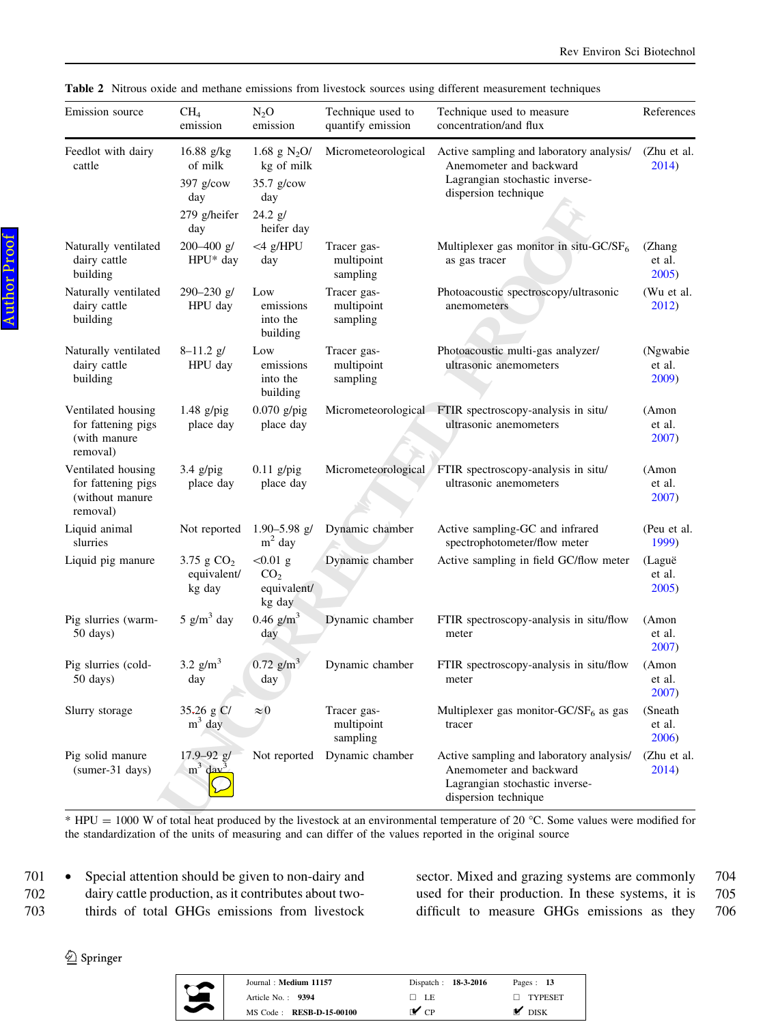| Emission source                                                         | CH <sub>4</sub><br>emission                                          | $N_2O$<br>emission                                                           | Technique used to<br>quantify emission | Technique used to measure<br>concentration/and flux                                                                           | References                  |
|-------------------------------------------------------------------------|----------------------------------------------------------------------|------------------------------------------------------------------------------|----------------------------------------|-------------------------------------------------------------------------------------------------------------------------------|-----------------------------|
| Feedlot with dairy<br>cattle                                            | $16.88$ g/kg<br>of milk<br>$397$ g/cow<br>day<br>279 g/heifer<br>day | 1.68 g $N_2O/$<br>kg of milk<br>$35.7$ g/cow<br>day<br>24.2 g/<br>heifer day | Micrometeorological                    | Active sampling and laboratory analysis/<br>Anemometer and backward<br>Lagrangian stochastic inverse-<br>dispersion technique | (Zhu et al.<br>2014)        |
| Naturally ventilated<br>dairy cattle<br>building                        | 200-400 g/<br>$HPU^*$ day                                            | $<$ 4 g/HPU<br>day                                                           | Tracer gas-<br>multipoint<br>sampling  | Multiplexer gas monitor in situ-GC/SF <sub>6</sub><br>as gas tracer                                                           | (Zhang<br>et al.<br>2005)   |
| Naturally ventilated<br>dairy cattle<br>building                        | $290 - 230$ g/<br>HPU day                                            | Low<br>emissions<br>into the<br>building                                     | Tracer gas-<br>multipoint<br>sampling  | Photoacoustic spectroscopy/ultrasonic<br>anemometers                                                                          | (Wu et al.<br>2012)         |
| Naturally ventilated<br>dairy cattle<br>building                        | $8 - 11.2$ g/<br>HPU day                                             | Low<br>emissions<br>into the<br>building                                     | Tracer gas-<br>multipoint<br>sampling  | Photoacoustic multi-gas analyzer/<br>ultrasonic anemometers                                                                   | (Ngwabie<br>et al.<br>2009) |
| Ventilated housing<br>for fattening pigs<br>(with manure)<br>removal)   | $1.48$ g/pig<br>place day                                            | $0.070$ g/pig<br>place day                                                   |                                        | Micrometeorological FTIR spectroscopy-analysis in situ/<br>ultrasonic anemometers                                             | (Amon<br>et al.<br>2007)    |
| Ventilated housing<br>for fattening pigs<br>(without manure<br>removal) | $3.4$ g/pig<br>place day                                             | $0.11$ g/pig<br>place day                                                    | Micrometeorological                    | FTIR spectroscopy-analysis in situ/<br>ultrasonic anemometers                                                                 | (Amon<br>et al.<br>2007)    |
| Liquid animal<br>slurries                                               | Not reported                                                         | $1.90 - 5.98$ g/<br>$m2$ day                                                 | Dynamic chamber                        | Active sampling-GC and infrared<br>spectrophotometer/flow meter                                                               | (Peu et al.<br>1999)        |
| Liquid pig manure                                                       | 3.75 g $CO2$<br>equivalent/<br>kg day                                | $< 0.01$ g<br>CO <sub>2</sub><br>equivalent/<br>kg day                       | Dynamic chamber                        | Active sampling in field GC/flow meter                                                                                        | (Laguë<br>et al.<br>2005)   |
| Pig slurries (warm-<br>50 days)                                         | $5$ g/m <sup>3</sup> day                                             | $0.46$ g/m <sup>3</sup><br>day                                               | Dynamic chamber                        | FTIR spectroscopy-analysis in situ/flow<br>meter                                                                              | (Amon<br>et al.<br>2007)    |
| Pig slurries (cold-<br>$50 \text{ days}$                                | 3.2 $g/m^3$<br>day                                                   | $0.72$ g/m <sup>3</sup><br>day                                               | Dynamic chamber                        | FTIR spectroscopy-analysis in situ/flow<br>meter                                                                              | (Amon<br>et al.<br>2007)    |
| Slurry storage                                                          | $35-26$ g C/<br>$m3$ day                                             | $\approx 0$                                                                  | Tracer gas-<br>multipoint<br>sampling  | Multiplexer gas monitor- $GC/SF_6$ as gas<br>tracer                                                                           | (Sneath)<br>et al.<br>2006) |
| Pig solid manure<br>(sumer-31 days)                                     | $17.9 - 92$ g/<br>$m^3$ day <sup>3</sup>                             |                                                                              | Not reported Dynamic chamber           | Active sampling and laboratory analysis/<br>Anemometer and backward<br>Lagrangian stochastic inverse-<br>dispersion technique | (Zhu et al.<br>2014)        |

<span id="page-9-0"></span>Table 2 Nitrous oxide and methane emissions from livestock sources using different measurement techniques

\* HPU = 1000 W of total heat produced by the livestock at an environmental temperature of 20 °C. Some values were modified for the standardization of the units of measuring and can differ of the values reported in the original source

701 • Special attention should be given to non-dairy and 702 dairy cattle production, as it contributes about two-703 thirds of total GHGs emissions from livestock sector. Mixed and grazing systems are commonly 704 used for their production. In these systems, it is 705 difficult to measure GHGs emissions as they 706



| Journal: Medium 11157    | Dispatch: 18-3-2016 | Pages: $13$       |
|--------------------------|---------------------|-------------------|
| Article No.: 9394        | □ LE                | $\Box$ TYPESET    |
| MS Code: RESB-D-15-00100 | r✔ cp               | $\mathsf{M}$ DISK |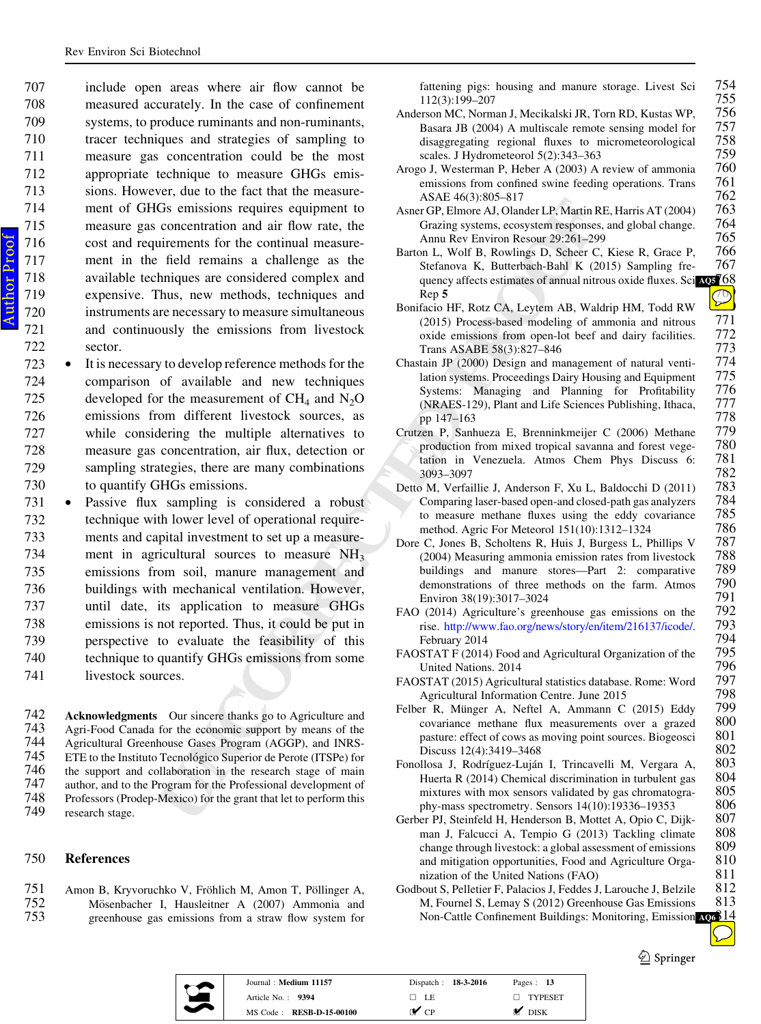<span id="page-10-0"></span> include open areas where air flow cannot be measured accurately. In the case of confinement systems, to produce ruminants and non-ruminants, tracer techniques and strategies of sampling to measure gas concentration could be the most appropriate technique to measure GHGs emis- sions. However, due to the fact that the measure- ment of GHGs emissions requires equipment to measure gas concentration and air flow rate, the cost and requirements for the continual measure- ment in the field remains a challenge as the available techniques are considered complex and expensive. Thus, new methods, techniques and instruments are necessary to measure simultaneous and continuously the emissions from livestock 722 sector.

- 723 • It is necessary to develop reference methods for the 724 comparison of available and new techniques 725 developed for the measurement of  $CH_4$  and  $N_2O$ 726 emissions from different livestock sources, as 727 while considering the multiple alternatives to 728 measure gas concentration, air flux, detection or 729 sampling strategies, there are many combinations 730 to quantify GHGs emissions.
- Gs emissions requires equipment to<br>  $\frac{\text{A-SIC}}{\text{A/BIC}}$ . Consider D. Mandr P. Mania RE.<br>
concentration and riflow rate, the<br>
dimension for the continual measure-<br>
interesting for the continual measure-<br>
line that the recen 731 • Passive flux sampling is considered a robust 732 technique with lower level of operational require-733 ments and capital investment to set up a measure-734 ment in agricultural sources to measure  $NH<sub>3</sub>$ 735 emissions from soil, manure management and 736 buildings with mechanical ventilation. However, 737 until date, its application to measure GHGs 738 emissions is not reported. Thus, it could be put in 739 perspective to evaluate the feasibility of this 740 technique to quantify GHGs emissions from some 741 livestock sources.
- **742 Acknowledgments** Our sincere thanks go to Agriculture and 743 Agri-Food Canada for the economic support by means of the 743 Agri-Food Canada for the economic support by means of the 744 Agricultural Greenhouse Gases Program (AGGP), and INRS-744 Agricultural Greenhouse Gases Program (AGGP), and INRS-745 ETE to the Instituto Tecnológico Superior de Perote (ITSPe) for<br>746 the support and collaboration in the research stage of main 746 the support and collaboration in the research stage of main 747 author, and to the Program for the Professional development of 747 author, and to the Program for the Professional development of 748 Professors (Proden-Mexico) for the grant that let to perform this 748 Professors (Prodep-Mexico) for the grant that let to perform this research stage.

### 750 References

751 Amon B, Kryvoruchko V, Fröhlich M, Amon T, Pöllinger A, 752 Mösenbacher I, Hausleitner A (2007) Ammonia and 752 Mösenbacher I, Hausleitner A (2007) Ammonia and greenhouse gas emissions from a straw flow system for greenhouse gas emissions from a straw flow system for

fattening pigs: housing and manure storage. Livest Sci 754<br>112(3):199-207 755 112(3):199–207 755

- Anderson MC, Norman J, Mecikalski JR, Torn RD, Kustas WP, 756<br>Basara JB (2004) A multiscale remote sensing model for 757 Basara JB (2004) A multiscale remote sensing model for 757<br>disaggregating regional fluxes to micrometeorological 758 disaggregating regional fluxes to micrometeorological 758 scales J Hydrometeorol 5(2):343–363 759 scales. J Hydrometeorol 5(2):343–363<br>20 J, Westerman P, Heber A (2003) A review of ammonia 760
- Arogo J, Westerman P, Heber A (2003) A review of ammonia 760 emissions from confined swine feeding operations. Trans 761 emissions from confined swine feeding operations. Trans 761<br>ASAE 46(3):805–817 762 ASAE 46(3):805–817 762
- Asner GP, Elmore AJ, Olander LP, Martin RE, Harris AT (2004) 763<br>Grazing systems, ecosystem responses, and global change. 764 Grazing systems, ecosystem responses, and global change. 764<br>Annu Rev Environ Resour 29:261–299 765 Annu Rev Environ Resour 29:261–299<br>on L, Wolf B, Rowlings D, Scheer C, Kiese R, Grace P, 766
- Barton L, Wolf B, Rowlings D, Scheer C, Kiese R, Grace P, 766<br>Stefanova K, Butterbach-Bahl K (2015) Sampling fre- 767 Stefanova K, Butterbach-Bahl K  $(2015)$  Sampling fre-quency affects estimates of annual nitrous oxide fluxes. Sci [AQ5](#page-13-0) 68 Rep<sub>5</sub>  $\sim$  5  $(10)$
- Rep 5<br>Bonifacio HF, Rotz CA, Leytem AB, Waldrip HM, Todd RW  $(2015)$  Process-based modeling of ammonia and nitrous 771 (2015) Process-based modeling of ammonia and nitrous  $771$  oxide emissions from open-lot beef and dairy facilities.  $772$ oxide emissions from open-lot beef and dairy facilities. 772<br>Trans ASABE 58(3):827–846 773 Trans ASABE 58(3):827–846<br>
stain JP (2000) Design and management of natural venti- 774
- Chastain JP (2000) Design and management of natural venti-<br>lation systems. Proceedings Dairy Housing and Equipment 775 lation systems. Proceedings Dairy Housing and Equipment 775<br>Systems: Managing and Planning for Profitability 776 Systems: Managing and Planning for Profitability 776<br>(NRAES-129), Plant and Life Sciences Publishing, Ithaca, 777 (NRAES-129), Plant and Life Sciences Publishing, Ithaca, 777
- pp 147–163 778<br>zen P. Sanhueza E. Brenninkmeijer C (2006) Methane 779 Crutzen P, Sanhueza E, Brenninkmeijer C (2006) Methane 779 production from mixed tropical savanna and forest vege-<br>
tation in Venezuela. Atmos Chem Phys Discuss 6: 781 tation in Venezuela. Atmos Chem Phys Discuss 6: 781 3093–3097 782
- Detto M, Verfaillie J, Anderson F, Xu L, Baldocchi D (2011) 783 Comparing laser-based open-and closed-path gas analyzers 784<br>to measure methane fluxes using the eddy covariance 785 to measure methane fluxes using the eddy covariance  $785$ <br>method Agric For Meteorol 151(10):1312–1324  $786$ method. Agric For Meteorol 151(10):1312–1324 786<br>
2 C. Jones B. Scholtens R. Huis J. Burgess L. Phillips V 787
- Dore C, Jones B, Scholtens R, Huis J, Burgess L, Phillips V 787 (2004) Measuring ammonia emission rates from livestock 788 (2004) Measuring ammonia emission rates from livestock 788 buildings and manure stores—Part 2: comparative 789 demonstrations of three methods on the farm. Atmos 790 demonstrations of three methods on the farm. Atmos 790<br>Environ 38(19):3017–3024 791 Environ 38(19):3017–3024 791<br>2014) Agriculture's greenhouse gas emissions on the 792
- FAO (2014) Agriculture's greenhouse gas emissions on the rise. <http://www.fao.org/news/story/en/item/216137/icode/> February 2014<br>STAT F (2014) Food and Agricultural Organization of the 795
- FAOSTAT F (2014) Food and Agricultural Organization of the 795<br>United Nations 2014 796 796<br>STAT (2015) Agricultural statistics database. Rome: Word 797
- FAOSTAT (2015) Agricultural statistics database. Rome: Word 797 Agricultural Information Centre. June 2015 798<br>
er R. Münger A. Neftel A. Ammann C. (2015) Eddy 799
- Felber R, Münger A, Neftel A, Ammann C (2015) Eddy 799<br>covariance methane flux measurements over a grazed 800 covariance methane flux measurements over a grazed 800 pasture: effect of cows as moving point sources. Biogeosci 801 Discuss 12(4):3419–3468 802
- Fonollosa J, Rodríguez-Luján I, Trincavelli M, Vergara A, 803<br>Huerta R (2014) Chemical discrimination in turbulent gas 804 Huerta R (2014) Chemical discrimination in turbulent gas 804<br>mixtures with mox sensors validated by gas chromatogra-805 mixtures with mox sensors validated by gas chromatogra-<br>
phy-mass spectrometry. Sensors 14(10):19336–19353 806 phy-mass spectrometry. Sensors 14(10):19336–19353 806<br>
ber PJ. Steinfeld H. Henderson B. Mottet A. Opio C. Diik- 807
- Gerber PJ, Steinfeld H, Henderson B, Mottet A, Opio C, Dijk- 807 man J, Falcucci A, Tempio G (2013) Tackling climate 808<br>change through livestock: a global assessment of emissions 809 change through livestock: a global assessment of emissions 809<br>and mitigation opportunities. Food and Agriculture Orga-810 and mitigation opportunities, Food and Agriculture Orga- 810<br>nization of the United Nations (FAO) 811 nization of the United Nations (FAO) 811<br>bout S. Pelletier F. Palacios J. Feddes J. Larouche J. Belzile 812
- Godbout S, Pelletier F, Palacios J, Feddes J, Larouche J, Belzile 812<br>M. Fournel S. Lemay S (2012) Greenhouse Gas Emissions 813 M, Fournel S, Lemay S (2012) Greenhouse Gas Emissions Non-Cattle Confinement Buildings: Monitoring, Emission [AQ6](#page-13-0) 814

 $\circledcirc$  Springer

. 793





| Journal: Medium 11157    | Dispatch: 18-3-2016 | Pages: $13$    |  |
|--------------------------|---------------------|----------------|--|
| Article No.: 9394        | $\Box$ LE           | $\Box$ TYPESET |  |
| MS Code: RESB-D-15-00100 | r✔ cp               | <b>DISK</b>    |  |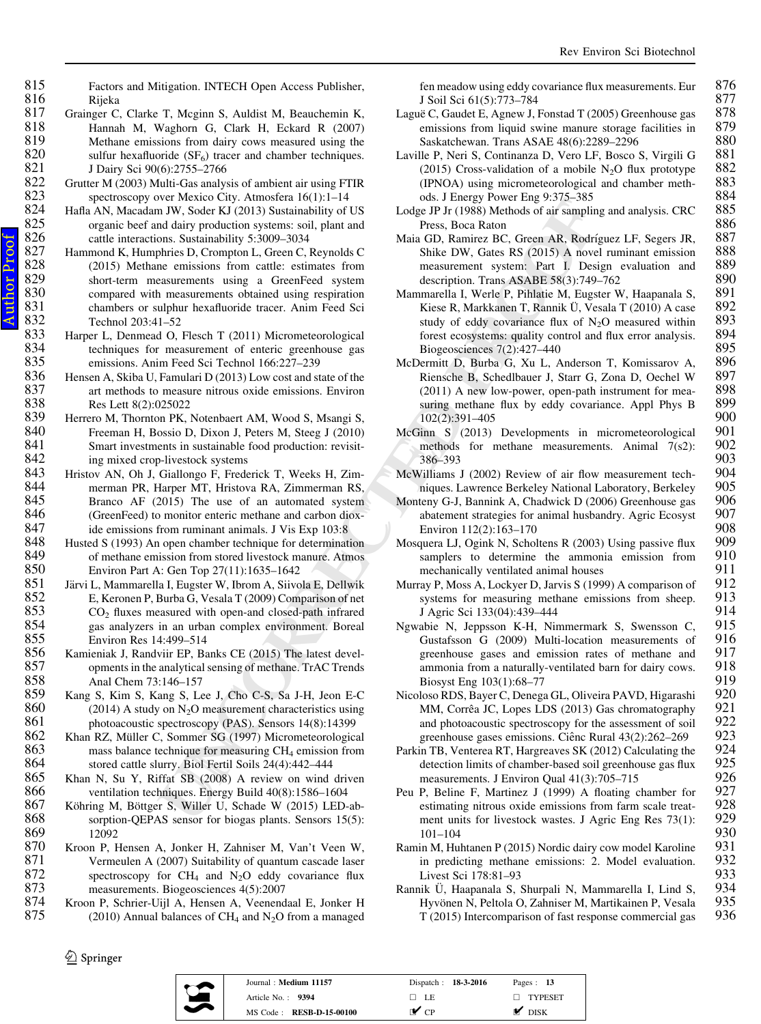- 834 techniques for measurement of enteric greenhouse gas<br>835 emissions. Anim Feed Sci Technol 166:227–239 835 emissions. Anim Feed Sci Technol 166:227–239<br>836 Hensen A. Skiba U. Famulari D (2013) Low cost and st 836 Hensen A, Skiba U, Famulari D (2013) Low cost and state of the 837 art methods to measure nitrous oxide emissions. Environ 837 art methods to measure nitrous oxide emissions. Environ 838 Res Lett 8(2):025022 838 Res Lett 8(2):025022<br>839 Herrero M, Thornton PK, 839 Herrero M, Thornton PK, Notenbaert AM, Wood S, Msangi S, 840 Freeman H, Bossio D, Dixon J, Peters M, Steeg J (2010) 840 Freeman H, Bossio D, Dixon J, Peters M, Steeg J (2010)<br>841 Smart investments in sustainable food production: revisit-841 Smart investments in sustainable food production: revisit-<br>842 ing mixed crop-livestock systems
- 842 ing mixed crop-livestock systems<br>843 Hristov AN, Oh J, Giallongo F, Frede 843 Hristov AN, Oh J, Giallongo F, Frederick T, Weeks H, Zim-<br>844 **Hristova RA, Zimmerman RS, Harper MT**, Hristova RA, Zimmerman RS, 844 merman PR, Harper MT, Hristova RA, Zimmerman RS,<br>845 Branco AF (2015) The use of an automated system

845 Branco AF (2015) The use of an automated system 846 (GreenFeed) to monitor enteric methane and carbon diox-846 (GreenFeed) to monitor enteric methane and carbon diox-<br>847 ide emissions from numinant animals I Vis Exp 103:8

847 ide emissions from ruminant animals. J Vis Exp 103:8<br>848 Husted S (1993) An open chamber technique for determinat 848 Husted S (1993) An open chamber technique for determination<br>849 fine of methane emission from stored livestock manure. Atmos

849 of methane emission from stored livestock manure. Atmos 850 Environ Part A: Gen Top 27(11):1635–1642

850 Environ Part A: Gen Top 27(11):1635–1642<br>851 Järvi L. Mammarella I. Eugster W. Ibrom A. Siivo 851 Järvi L, Mammarella I, Eugster W, Ibrom A, Siivola E, Dellwik<br>852 E, Keronen P, Burba G, Vesala T (2009) Comparison of net 852 E, Keronen P, Burba G, Vesala T (2009) Comparison of net 853 CO, fluxes measured with open-and closed-path infrared

853 CO <sup>2</sup> fluxes measured with open-and closed-path infrared

854 gas analyzers in an urban complex environment. Boreal<br>855 Environ Res 14:499–514 855 Environ Res 14:499–514<br>856 Kamieniak J, Randviir EP, Ba 856 Kamieniak J, Randviir EP, Banks CE (2015) The latest devel-<br>857 opments in the analytical sensing of methane. TrAC Trends

857 opments in the analytical sensing of methane. TrAC Trends<br>858 Anal Chem 73:146–157 858 Anal Chem 73:146–157<br>859 Kang S, Kim S, Kang S, Le

859 Kang S, Kim S, Kang S, Lee J, Cho C-S, Sa J-H, Jeon E-C 860 (2014) A study on N<sub>2</sub>O measurement characteristics using 860 (2014) A study on  $N_2O$  measurement characteristics using 861 photoacoustic spectroscopy (PAS). Sensors 14(8):14399<br>862 Khan RZ. Müller C. Sommer SG (1997) Micrometeorologic:

862 Khan RZ, Müller C, Sommer SG (1997) Micrometeorological 863 mass balance technique for measuring  $CH<sub>4</sub>$  emission from 863 mass balance technique for measuring CH <sup>4</sup> emission from

864 stored cattle slurry. Biol Fertil Soils 24(4):442–444<br>865 Khan N. Su Y. Riffat SB (2008) A review on wind 865 Khan N, Su Y, Riffat SB (2008) A review on wind driven 866 ventilation techniques. Energy Build 40(8):1586–1604

866 ventilation techniques. Energy Build 40(8):1586–1604<br>867 Köhring M, Böttger S, Willer U, Schade W (2015) LED-

867 Köhring M, Böttger S, Willer U, Schade W (2015) LED-ab-<br>868 sorption-OEPAS sensor for biogas plants. Sensors 15(5): 868 sorption-QEPAS sensor for biogas plants. Sensors 15(5):<br>869 12092

869 12092<br>870 Kroon P. F

870 Kroon P, Hensen A, Jonker H, Zahniser M, Van't Veen W, 871 Vermeulen A (2007) Suitability of quantum cascade laser  $871$  Vermeulen A (2007) Suitability of quantum cascade laser<br> $872$  spectroscopy for CH<sub>4</sub> and N<sub>2</sub>O eddy covariance flux 872 spectroscopy for  $CH_4$  and N<sub>2</sub>O eddy covariance flux

873 measurements. Biogeosciences 4(5):2007<br>874 Kroon P. Schrier-Uill A. Hensen A. Veenend 874 Kroon P, Schrier-Uijl A, Hensen A, Veenendaal E, Jonker H<br>875 (2010) Annual balances of CH, and N<sub>2</sub>O from a managed 875 (2010) Annual balances of CH<sub>4</sub> and N<sub>2</sub>O from a managed

<span id="page-11-0"></span>815 Factors and Mitigation. INTECH Open Access Publisher,<br>816 Rijeka

 $820$  sulfur hexafluoride (SF<sub>6</sub>) tracer and chamber techniques.

822 Grutter M (2003) Multi-Gas analysis of ambient air using FTIR<br>823 spectroscopy over Mexico City. Atmosfera 16(1):1–14 823 spectroscopy over Mexico City. Atmosfera 16(1):1–14<br>824 Hafla AN. Macadam JW. Soder KJ (2013) Sustainability of 824 Hafla AN, Macadam JW, Soder KJ (2013) Sustainability of US<br>825 organic beef and dairy production systems: soil, plant and

821 J Dairy Sci 90(6):2755–2766<br>822 Grutter M (2003) Multi-Gas analys

832 Technol 203:41–52<br>833 Harper L. Denmead O.

fen meadow using eddy covariance flux measurements. Eur 876 J Soil Sci 61(5):773–784 877

- Lague C, Gaudet E, Agnew J, Fonstad T (2005) Greenhouse gas 878<br>emissions from liquid swine manure storage facilities in 879 emissions from liquid swine manure storage facilities in 879<br>Saskatchewan, Trans ASAE 48(6):2289–2296 880 838 Saskatchewan. Trans ASAE 48(6):2289–2296 880<br>Ile P. Neri S. Continanza D. Vero LF. Bosco S. Virgili G 881
- Laville P, Neri S, Continanza D, Vero LF, Bosco S, Virgili G 881 (2015) Cross-validation of a mobile N<sub>2</sub>O flux prototype 882 (2015) Cross-validation of a mobile N<sub>2</sub>O flux prototype 882 (IPNOA) using micrometeorological and chamber meth- 883
- ods. J Energy Power Eng 9:375–385<br>20 JP Jr (1988) Methods of air sampling and analysis. CRC 885 Lodge JP Jr (1988) Methods of air sampling and analysis. CRC 885 886 Press, Boca Raton<br>1 GD. Ramirez BC. Green AR. Rodríguez LF. Segers JR. 887
- Maia GD, Ramirez BC, Green AR, Rodríguez LF, Segers JR, 887<br>Shike DW, Gates RS (2015) A novel ruminant emission 888 Shike DW, Gates RS (2015) A novel ruminant emission 888<br>measurement system: Part I. Design evaluation and 889 measurement system: Part I. Design evaluation and 889 description. Trans ASABE 58(3):749–762 890 description. Trans ASABE 58(3):749–762 690<br>1890 marella L. Werle P. Pihlatie M. Eugster W. Haananala S. 891
- is D.W. Societ May and May and May and May and May and May and May and May probable of US D.W. Societ May and May and May and May and May and May and May and May and May and May and May and May and May and May and May and Mammarella I, Werle P, Pihlatie M, Eugster W, Haapanala S, 891 Kiese R, Markkanen T, Rannik Ü, Vesala T (2010) A case 892<br>study of eddy covariance flux of N<sub>2</sub>O measured within 893 study of eddy covariance flux of  $N_2O$  measured within 893 forest ecosystems: quality control and flux error analysis. 894<br>Biogeosciences 7(2):427–440 895 Biogeosciences 7(2):427–440<br>
Bermitt D. Burba G. Xu L. Anderson T. Komissarov A. 896
	- McDermitt D, Burba G, Xu L, Anderson T, Komissarov A, 896<br>Riensche B, Schedlbauer J, Starr G, Zona D, Oechel W, 897 Riensche B, Schedlbauer J, Starr G, Zona D, Oechel W 897<br>(2011) A new low-power open-path instrument for mea-898  $(2011)$  A new low-power, open-path instrument for mea- 898 suring methane flux by eddy covariance. Appl Phys B 899 suring methane flux by eddy covariance. Appl Phys B  $899$ <br>102(2):391–405 900
	- 900 900<br>inn S (2013) Developments in micrometeorological 901 McGinn S (2013) Developments in micrometeorological 901 methods for methods measurements. Animal 7(s2): 902 methods for methane measurements. Animal  $7(s2)$ : 902<br>386–393 386–393 903

McWilliams J (2002) Review of air flow measurement tech-<br>niques Lawrence Berkeley National Laboratory Berkeley 905 niques. Lawrence Berkeley National Laboratory, Berkeley 905<br>
1906 Henv G-J. Bannink A. Chadwick D (2006) Greenhouse gas

- Monteny G-J, Bannink A, Chadwick D (2006) Greenhouse gas 906<br>abatement strategies for animal husbandry. Agric Ecosyst 907 abatement strategies for animal husbandry. Agric Ecosyst 907<br>Frigger 112(2):163–170 908 Environ 112(2):163–170 908<br>quera LJ, Ogink N, Scholtens R (2003) Using passive flux 909
- Mosquera LJ, Ogink N, Scholtens R (2003) Using passive flux 909 samplers to determine the ammonia emission from 910 samplers to determine the ammonia emission from 910<br>mechanically ventilated animal houses 911 mechanically ventilated animal houses 911<br>ray P. Moss A. Lockver D. Jarvis S (1999) A comparison of 912
- Murray P, Moss A, Lockyer D, Jarvis S (1999) A comparison of 912<br>systems for measuring methane emissions from sheep. 913 systems for measuring methane emissions from sheep.  $913$ <br>J Agric Sci 13304):439-444 914 1 Agric Sci 133(04):439–444<br>
vabie N. Jeppsson K-H. Nimmermark S. Swensson C. 915
- Ngwabie N, Jeppsson K-H, Nimmermark S, Swensson C, 915 Gustafsson G (2009) Multi-location measurements of 916 greenhouse gases and emission rates of methane and 917 greenhouse gases and emission rates of methane and 917<br>ammonia from a naturally-ventilated barn for dairy cows 918 ammonia from a naturally-ventilated barn for dairy cows. 918<br>Biosyst Eng 103(1):68–77 Biosyst Eng 103(1):68–77<br>Ioso RDS, Bayer C, Denega GL, Oliveira PAVD, Higarashi 920
- Nicoloso RDS, Bayer C, Denega GL, Oliveira PAVD, Higarashi 920 MM, Corrêa JC, Lopes LDS (2013) Gas chromatography 921<br>and photoacoustic spectroscopy for the assessment of soil 922 and photoacoustic spectroscopy for the assessment of soil 922<br>greenhouse gases emissions. Ciênc Rural  $43(2):262-269$  923 greenhouse gases emissions. Ciênc Rural 43(2):262–269 923<br>in TB, Venterea RT, Hargreaves SK (2012) Calculating the 924
- Parkin TB, Venterea RT, Hargreaves SK (2012) Calculating the 924 detection limits of chamber-based soil greenhouse gas flux  $925$ <br>measurements. J Environ Oual 41(3):705–715  $926$ measurements. J Environ Qual 41(3):705–715 926<br>P. Beline F. Martinez J (1999) A floating chamber for 927
- Peu P, Beline F, Martinez J (1999) A floating chamber for 927 estimating nitrous oxide emissions from farm scale treat-928 estimating nitrous oxide emissions from farm scale treat-<br>ment units for livestock wastes. J Agric Eng Res 73(1): 929 ment units for livestock wastes. J Agric Eng Res 73(1): 929<br>101–104 930 101–104 930
- Ramin M, Huhtanen P (2015) Nordic dairy cow model Karoline 931<br>in predicting methane emissions: 2. Model evaluation. 932 in predicting methane emissions: 2. Model evaluation.  $932$ <br>Livest Sci 178:81–93 Eivest Sci 178:81–93<br>nik Ü. Haapanala S. Shurpali N. Mammarella I. Lind S. 934
- Rannik Ü, Haapanala S, Shurpali N, Mammarella I, Lind S, 934<br>Hyvönen N, Peltola O, Zahniser M, Martikainen P, Vesala 935 Hyvönen N, Peltola O, Zahniser M, Martikainen P, Vesala 935<br>T (2015) Intercomparison of fast response commercial gas 936  $T(2015)$  Intercomparison of fast response commercial gas

 $\circledcirc$  Springer



| Journal: Medium 11157    | Dispatch: 18-3-2016 | Pages: $13$         |
|--------------------------|---------------------|---------------------|
| Article No. $\cdot$ 9394 | □ LE                | $\Box$ TYPESET      |
| MS Code: RESB-D-15-00100 | r✔ cp               | $\blacksquare$ DISK |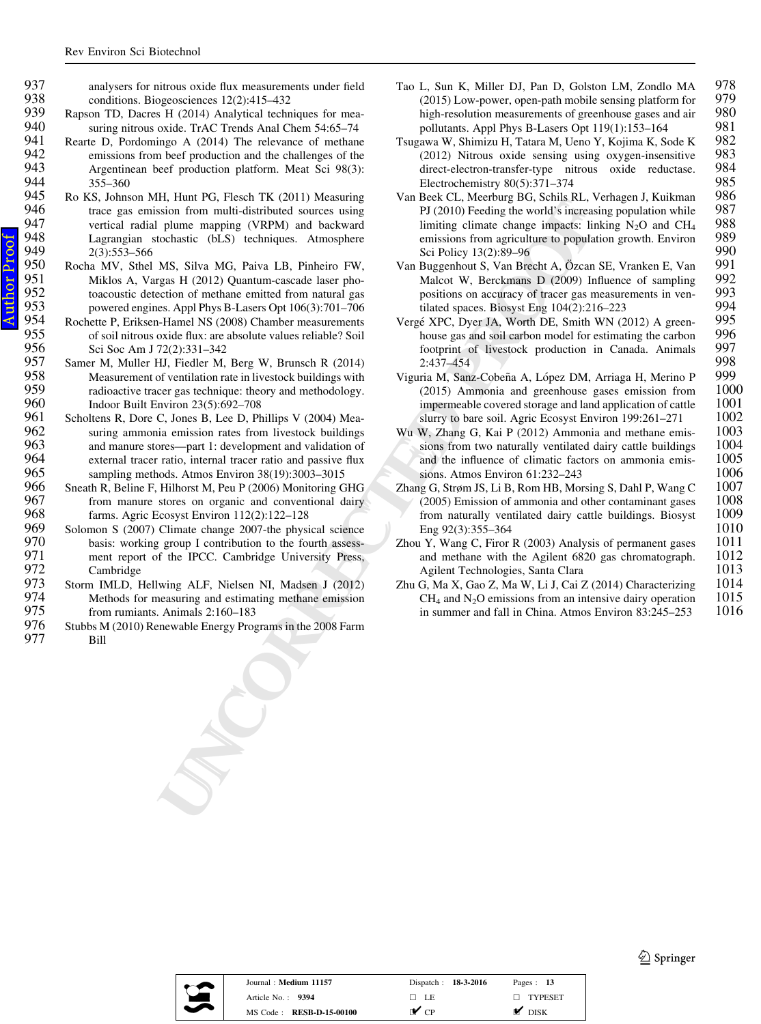$Proof$ Author ProofAuthor

<span id="page-12-0"></span>937 analysers for nitrous oxide flux measurements under field<br>938 conditions Biogeosciences  $12(2)$ :415–432 938 conditions. Biogeosciences 12(2):415–432<br>939 Rapson TD. Dacres H (2014) Analytical techn

- 939 Rapson TD, Dacres H (2014) Analytical techniques for mea-<br>940 suring nitrous oxide. TrAC Trends Anal Chem 54:65–74 940 suring nitrous oxide. TrAC Trends Anal Chem 54:65–74<br>941 Rearte D. Pordomingo A (2014) The relevance of methan
- 941 Rearte D, Pordomingo A (2014) The relevance of methane<br>942 emissions from beef production and the challenges of the 942 emissions from beef production and the challenges of the<br>943 Argentinean beef production platform. Meat Sci 98(3): 943 Argentinean beef production platform. Meat Sci 98(3):<br>944 355–360 944 355–360<br>945 Ro KS, Johns
- 945 Ro KS, Johnson MH, Hunt PG, Flesch TK (2011) Measuring 946 trace gas emission from multi-distributed sources using 946 trace gas emission from multi-distributed sources using<br>947 vertical radial plume mapping (VRPM) and backward 947 vertical radial plume mapping (VRPM) and backward 948 Lagrangian stochastic (bLS) techniques. Atmosphere 949 2(3):553–566<br>950 Rocha MV, Sthel
- 950 Rocha MV, Sthel MS, Silva MG, Paiva LB, Pinheiro FW, 951 Miklos A, Vargas H (2012) Quantum-cascade laser pho-951 Miklos A, Vargas H (2012) Quantum-cascade laser pho-<br>952 toacoustic detection of methane emitted from natural gas 952 toacoustic detection of methane emitted from natural gas<br>953 nowered engines. Appl Phys B-Lasers Opt 106(3):701–706 953 powered engines. Appl Phys B-Lasers Opt 106(3):701–706
- 954 Rochette P, Eriksen-Hamel NS (2008) Chamber measurements<br>955 of soil nitrous oxide flux: are absolute values reliable? Soil 955 of soil nitrous oxide flux: are absolute values reliable? Soil<br>956 Sci Soc Am J 72(2):331–342 956 Sci Soc Am J 72(2):331-342<br>957 Samer M. Muller HJ. Fiedler M.
- 957 Samer M, Muller HJ, Fiedler M, Berg W, Brunsch R (2014)<br>958 Measurement of ventilation rate in livestock buildings with 958 Measurement of ventilation rate in livestock buildings with<br>959 radioactive tracer gas technique: theory and methodology 959 radioactive tracer gas technique: theory and methodology.<br>960 Indoor Built Environ 23(5):692–708 960 Indoor Built Environ 23(5):692–708<br>961 Scholtens R, Dore C, Jones B, Lee D, Ph
- is, and recent the set of the set of the set of the set of the set of the set of the set of the plying mapping (VRN) not has been as the plane mapping (VRN) channels the plane scheme of the set of the set of the set of th 961 Scholtens R, Dore C, Jones B, Lee D, Phillips V (2004) Mea-<br>962 suring ammonia emission rates from livestock buildings 962 suring ammonia emission rates from livestock buildings<br>963 and manure stores—part 1: development and validation of 963 and manure stores—part 1: development and validation of external tracer ratio, internal tracer ratio and passive flux 964 external tracer ratio, internal tracer ratio and passive flux<br>965 sampling methods. Atmos Environ 38(19):3003–3015 965 sampling methods. Atmos Environ 38(19):3003–3015<br>966 Sneath R. Beline F. Hilhorst M. Peu P (2006) Monitoring G
- 966 Sneath R, Beline F, Hilhorst M, Peu P (2006) Monitoring GHG<br>967 from manure stores on organic and conventional dairy 967 from manure stores on organic and conventional dairy<br>968 farms. Agric Ecosyst Environ 112(2):122–128 968 farms. Agric Ecosyst Environ 112(2):122–128<br>969 Solomon S (2007) Climate change 2007-the physi
- 969 Solomon S (2007) Climate change 2007-the physical science<br>970 basis: working group I contribution to the fourth assess-970 basis: working group I contribution to the fourth assess-<br>971 ment report of the IPCC. Cambridge University Press. 971 ment report of the IPCC. Cambridge University Press,<br>972 Cambridge 972 Cambridge<br>973 Storm IMLD. I
- 973 Storm IMLD, Hellwing ALF, Nielsen NI, Madsen J (2012)<br>974 Methods for measuring and estimating methone emission 974 Methods for measuring and estimating methane emission<br>975 from rumiants. Animals 2:160–183 975 from rumiants. Animals 2:160–183<br>976 Stubbs M (2010) Renewable Energy Prog
- Stubbs M (2010) Renewable Energy Programs in the 2008 Farm 977 Bill
- Tao L, Sun K, Miller DJ, Pan D, Golston LM, Zondlo MA 978<br>(2015) Low-power open-path mobile sensing platform for 979 (2015) Low-power, open-path mobile sensing platform for  $979$  high-resolution measurements of greenhouse gases and air  $980$ high-resolution measurements of greenhouse gases and air 980<br>pollutants. Appl Phys B-Lasers Opt 119(1):153–164 981 pollutants. Appl Phys B-Lasers Opt 119(1):153–164 981<br>Pawa W. Shimizu H. Tatara M. Ueno Y. Koiima K. Sode K 982
- Tsugawa W, Shimizu H, Tatara M, Ueno Y, Kojima K, Sode K 982<br>(2012) Nitrous oxide sensing using oxygen-insensitive 983 (2012) Nitrous oxide sensing using oxygen-insensitive 983 direct-electron-transfer-type nitrous oxide reductase. 984<br>Electrochemistry 80(5):371–374 985 Electrochemistry 80(5):371–374<br>Beek CL. Meerburg BG. Schils RL. Verhagen J. Kuikman 986
- Van Beek CL, Meerburg BG, Schils RL, Verhagen J, Kuikman 986<br>PJ (2010) Feeding the world's increasing population while 987 PJ (2010) Feeding the world's increasing population while limiting climate change impacts: linking  $N_2O$  and CH 988<br>989 emissions from agriculture to population growth. Environ 989<br>Sci Policy 13(2):89–96 990 990 Sci Policy 13(2):89–96<br>Buggenhout S. Van Brecht A. Özcan SE. Vranken E. Van 991
- Van Buggenhout S, Van Brecht A, Özcan SE, Vranken E, Van 991<br>Malcot W. Berckmans D (2009) Influence of sampling 992 Malcot W, Berckmans D (2009) Influence of sampling 992<br>nositions on accuracy of tracer gas measurements in yen-<br>993 positions on accuracy of tracer gas measurements in ven-<br>tilated spaces. Biosyst  $\text{Fro } 104(2) \cdot 216-223$  994 tilated spaces. Biosyst Eng 104(2):216–223 994<br>E XPC, Dver JA, Worth DE, Smith WN (2012) A green-995
- Vergé XPC, Dyer JA, Worth DE, Smith WN (2012) A green-<br>house gas and soil carbon model for estimating the carbon 996 house gas and soil carbon model for estimating the carbon 996<br>footprint of livestock production in Canada. Animals 997 footprint of livestock production in Canada. Animals 997 998<br>2:437–454 rria M. Sanz-Cobeña A. Lónez DM. Arriaga H. Merino P
- Viguria M, Sanz-Cobeña A, López DM, Arriaga H, Merino P 999<br>(2015) Ammonia and greenhouse gases emission from 1000 (2015) Ammonia and greenhouse gases emission from 1000 impermeable covered storage and land application of cattle 1001 impermeable covered storage and land application of cattle 1001<br>slurry to bare soil. Agric Ecosyst Environ 199:261–271 1002
- slurry to bare soil. Agric Ecosyst Environ 199:261–271 1002<br>W. Zhang G. Kai P (2012) Ammonia and methane emis- 1003 Wu W, Zhang G, Kai P (2012) Ammonia and methane emis-<br>sions from two naturally ventilated dairy cattle buildings 1004 sions from two naturally ventilated dairy cattle buildings 1004<br>and the influence of climatic factors on ammonia emis- 1005 and the influence of climatic factors on ammonia emis- $1005$ <br>sions. Atmos Environ 61:232–243 sions. Atmos Environ 61:232–243 1006<br>19 G. Strøm JS. Li B. Rom HB. Morsing S. Dahl P. Wang C 1007
- Zhang G, Strøm JS, Li B, Rom HB, Morsing S, Dahl P, Wang C 1007 (2005) Emission of ammonia and other contaminant gases 1008  $(2005)$  Emission of ammonia and other contaminant gases  $1008$  from naturally ventilated dairy cattle buildings. Biosyst  $1009$ from naturally ventilated dairy cattle buildings. Biosyst  $1009$ <br>Fig. 23.355–364  $1010$ Eng 92(3):355–364 1010<br>1 Y. Wang C. Firor R (2003) Analysis of permanent gases 1011
- Zhou Y, Wang C, Firor R (2003) Analysis of permanent gases 1011 and methane with the Agilent 6820 gas chromatograph. 1012<br>Agilent Technologies. Santa Clara 1013 Agilent Technologies, Santa Clara (1013)<br>G. Ma X. Gao Z. Ma W. Li J. Cai Z (2014) Characterizing (1014)
- Zhu G, Ma X, Gao Z, Ma W, Li J, Cai Z (2014) Characterizing 1014<br>CH<sub>4</sub> and N<sub>2</sub>O emissions from an intensive dairy operation 1015  $CH<sub>4</sub>$  and N<sub>2</sub>O emissions from an intensive dairy operation 1015 in summer and fall in China. Atmos Environ 83:245–253 1016

<sup>2</sup> Springer



| Journal: Medium 11157           | Dispatch: 18-3-2016      | Pages: $13$       |
|---------------------------------|--------------------------|-------------------|
| Article No. $\cdot$ 9394        | $\Box$ LE                | $\Box$ TYPESET    |
| MS Code: <b>RESB-D-15-00100</b> | $\mathbf{r}$ $_{\rm CP}$ | $\mathsf{M}$ DISK |